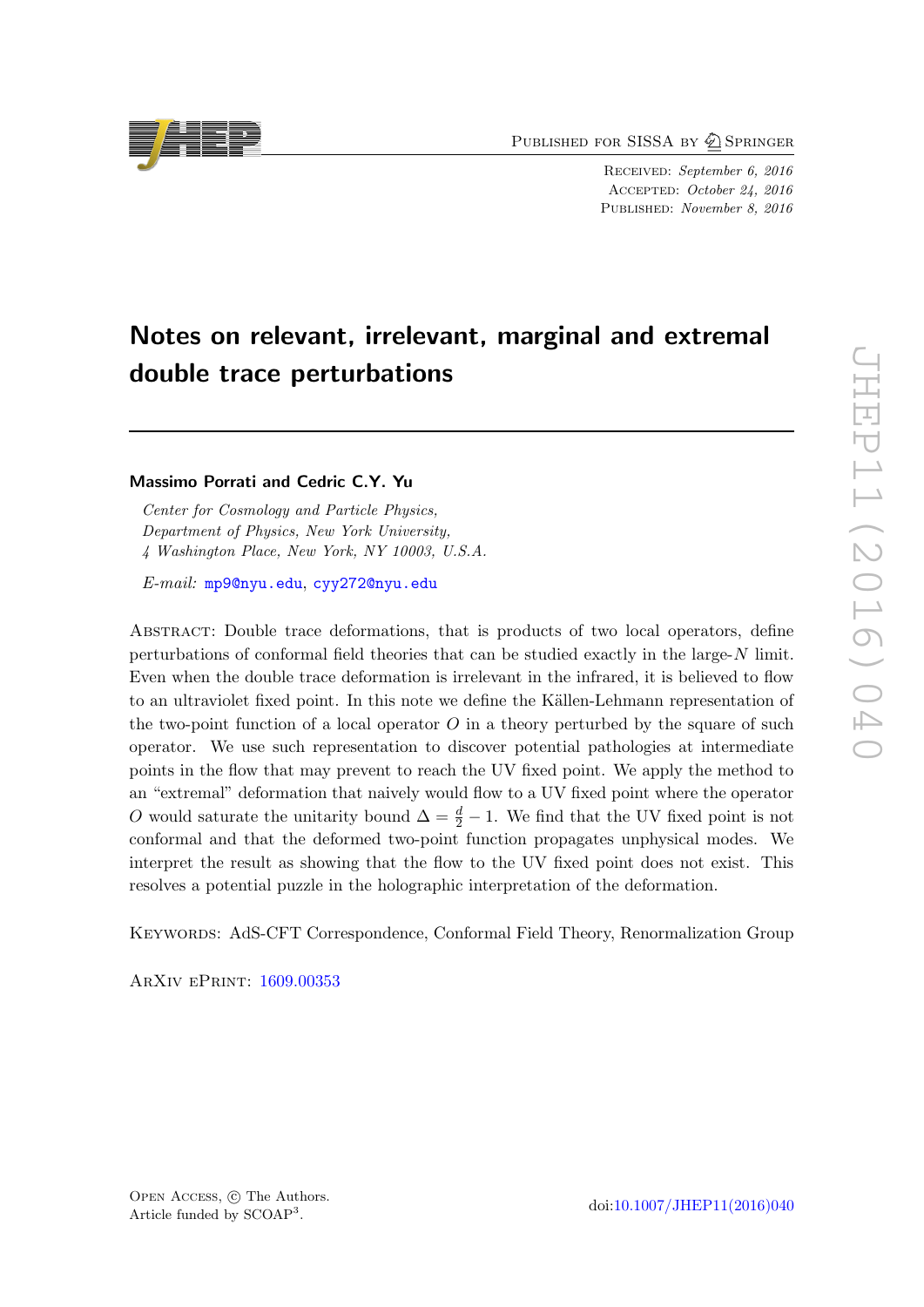PUBLISHED FOR SISSA BY 2 SPRINGER

Received: September 6, 2016 Accepted: October 24, 2016 PUBLISHED: November 8, 2016

# Notes on relevant, irrelevant, marginal and extremal double trace perturbations

# Massimo Porrati and Cedric C.Y. Yu

Center for Cosmology and Particle Physics, Department of Physics, New York University, 4 Washington Place, New York, NY 10003, U.S.A.

E-mail: [mp9@nyu.edu](mailto:mp9@nyu.edu), [cyy272@nyu.edu](mailto:cyy272@nyu.edu)

Abstract: Double trace deformations, that is products of two local operators, define perturbations of conformal field theories that can be studied exactly in the large- $N$  limit. Even when the double trace deformation is irrelevant in the infrared, it is believed to flow to an ultraviolet fixed point. In this note we define the Källen-Lehmann representation of the two-point function of a local operator  $O$  in a theory perturbed by the square of such operator. We use such representation to discover potential pathologies at intermediate points in the flow that may prevent to reach the UV fixed point. We apply the method to an "extremal" deformation that naively would flow to a UV fixed point where the operator O would saturate the unitarity bound  $\Delta = \frac{d}{2} - 1$ . We find that the UV fixed point is not conformal and that the deformed two-point function propagates unphysical modes. We interpret the result as showing that the flow to the UV fixed point does not exist. This resolves a potential puzzle in the holographic interpretation of the deformation.

KEYWORDS: AdS-CFT Correspondence, Conformal Field Theory, Renormalization Group

ArXiv ePrint: [1609.00353](https://arxiv.org/abs/1609.00353)

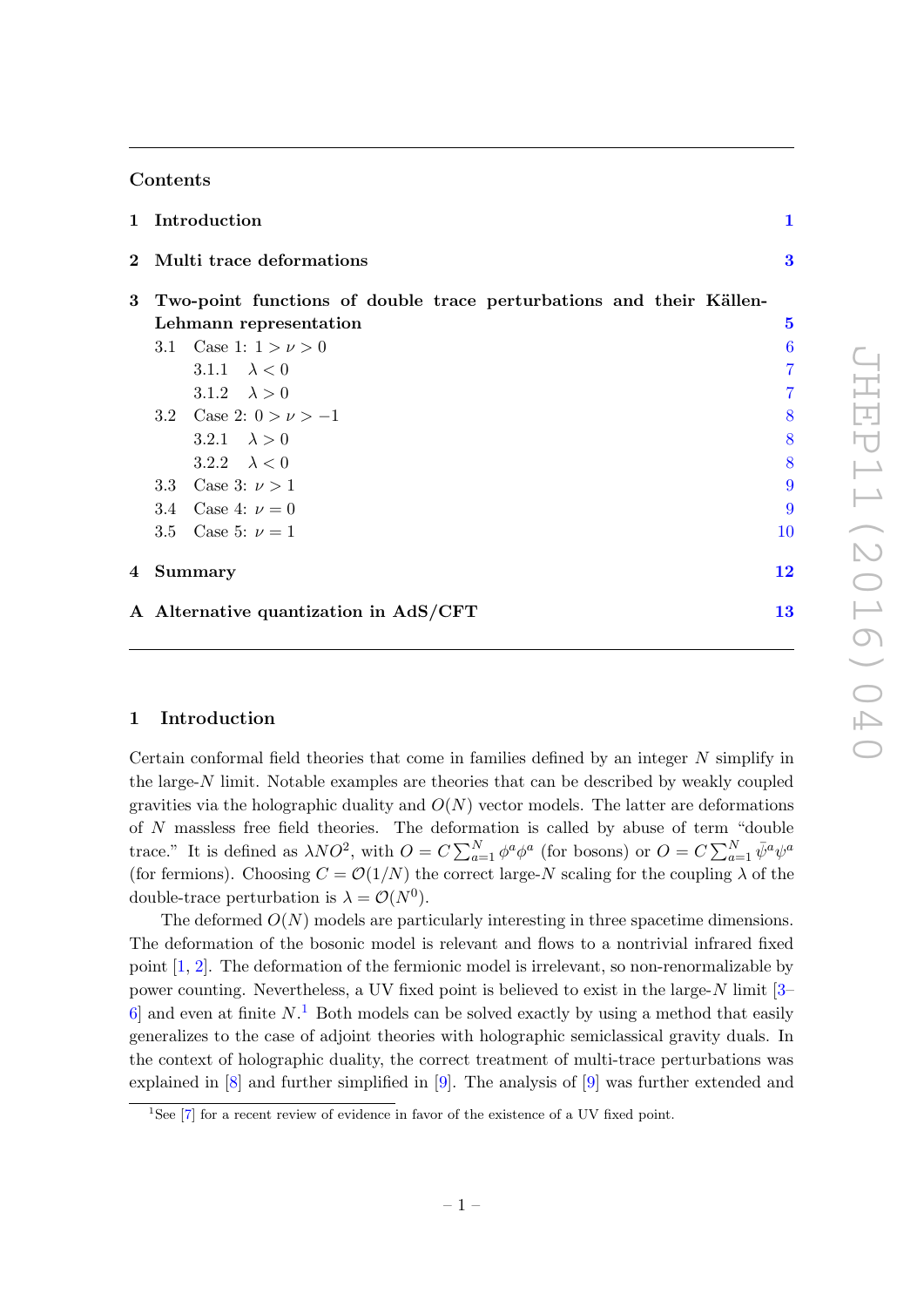# Contents

| 1 Introduction                        |                                                                     | 1              |
|---------------------------------------|---------------------------------------------------------------------|----------------|
| 2 Multi trace deformations            |                                                                     | $\bf{3}$       |
| 3                                     | Two-point functions of double trace perturbations and their Källen- |                |
| Lehmann representation                | $\bf{5}$                                                            |                |
| 3.1 Case 1: $1 > \nu > 0$             |                                                                     | 6              |
| 3.1.1 $\lambda < 0$                   |                                                                     | $\overline{7}$ |
| 3.1.2 $\lambda > 0$                   |                                                                     | 7              |
| 3.2 Case 2: $0 > \nu > -1$            |                                                                     | 8              |
| 3.2.1 $\lambda > 0$                   |                                                                     | 8              |
| 3.2.2 $\lambda < 0$                   |                                                                     | 8              |
| 3.3 Case 3: $\nu > 1$                 |                                                                     | 9              |
| 3.4 Case 4: $\nu = 0$                 |                                                                     | 9              |
| 3.5 Case 5: $\nu = 1$                 | 10                                                                  |                |
| 4 Summary                             | 12                                                                  |                |
| A Alternative quantization in AdS/CFT | 13                                                                  |                |

### <span id="page-1-0"></span>1 Introduction

Certain conformal field theories that come in families defined by an integer N simplify in the large-N limit. Notable examples are theories that can be described by weakly coupled gravities via the holographic duality and  $O(N)$  vector models. The latter are deformations of N massless free field theories. The deformation is called by abuse of term "double trace." It is defined as  $\lambda NO^2$ , with  $O = C \sum_{a=1}^{N} \phi^a \phi^a$  (for bosons) or  $O = C \sum_{a=1}^{N} \bar{\psi}^a \psi^a$ (for fermions). Choosing  $C = \mathcal{O}(1/N)$  the correct large-N scaling for the coupling  $\lambda$  of the double-trace perturbation is  $\lambda = \mathcal{O}(N^0)$ .

The deformed  $O(N)$  models are particularly interesting in three spacetime dimensions. The deformation of the bosonic model is relevant and flows to a nontrivial infrared fixed point [\[1,](#page-16-0) [2\]](#page-16-1). The deformation of the fermionic model is irrelevant, so non-renormalizable by power counting. Nevertheless, a UV fixed point is believed to exist in the large- $N$  limit [\[3–](#page-16-2)  $6$  and even at finite  $N$ <sup>[1](#page-1-1)</sup>. Both models can be solved exactly by using a method that easily generalizes to the case of adjoint theories with holographic semiclassical gravity duals. In the context of holographic duality, the correct treatment of multi-trace perturbations was explained in [\[8\]](#page-16-4) and further simplified in [\[9\]](#page-16-5). The analysis of [\[9\]](#page-16-5) was further extended and

<span id="page-1-1"></span><sup>&</sup>lt;sup>1</sup>See  $[7]$  for a recent review of evidence in favor of the existence of a UV fixed point.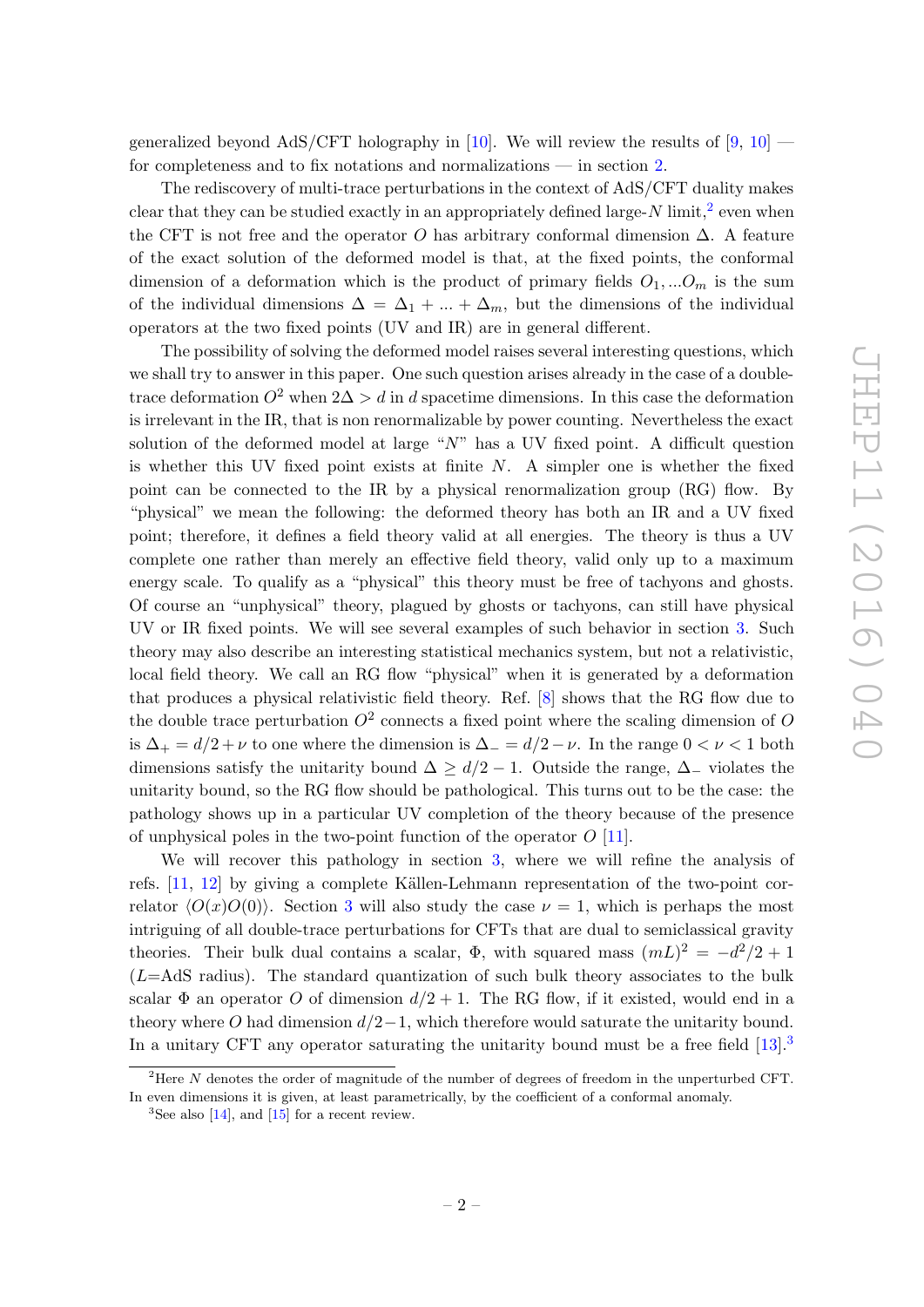generalized beyond AdS/CFT holography in [\[10\]](#page-16-7). We will review the results of  $[9, 10]$  $[9, 10]$  for completeness and to fix notations and normalizations — in section [2.](#page-3-0)

The rediscovery of multi-trace perturbations in the context of AdS/CFT duality makes clear that they can be studied exactly in an appropriately defined large-N limit,<sup>[2](#page-2-0)</sup> even when the CFT is not free and the operator O has arbitrary conformal dimension  $\Delta$ . A feature of the exact solution of the deformed model is that, at the fixed points, the conformal dimension of a deformation which is the product of primary fields  $O_1, \ldots O_m$  is the sum of the individual dimensions  $\Delta = \Delta_1 + ... + \Delta_m$ , but the dimensions of the individual operators at the two fixed points (UV and IR) are in general different.

The possibility of solving the deformed model raises several interesting questions, which we shall try to answer in this paper. One such question arises already in the case of a doubletrace deformation  $O^2$  when  $2\Delta > d$  in d spacetime dimensions. In this case the deformation is irrelevant in the IR, that is non renormalizable by power counting. Nevertheless the exact solution of the deformed model at large " $N$ " has a UV fixed point. A difficult question is whether this UV fixed point exists at finite  $N$ . A simpler one is whether the fixed point can be connected to the IR by a physical renormalization group (RG) flow. By "physical" we mean the following: the deformed theory has both an IR and a UV fixed point; therefore, it defines a field theory valid at all energies. The theory is thus a UV complete one rather than merely an effective field theory, valid only up to a maximum energy scale. To qualify as a "physical" this theory must be free of tachyons and ghosts. Of course an "unphysical" theory, plagued by ghosts or tachyons, can still have physical UV or IR fixed points. We will see several examples of such behavior in section [3.](#page-5-0) Such theory may also describe an interesting statistical mechanics system, but not a relativistic, local field theory. We call an RG flow "physical" when it is generated by a deformation that produces a physical relativistic field theory. Ref. [\[8\]](#page-16-4) shows that the RG flow due to the double trace perturbation  $O^2$  connects a fixed point where the scaling dimension of O is  $\Delta_+ = d/2 + \nu$  to one where the dimension is  $\Delta_- = d/2 - \nu$ . In the range  $0 < \nu < 1$  both dimensions satisfy the unitarity bound  $\Delta \geq d/2 - 1$ . Outside the range,  $\Delta_{-}$  violates the unitarity bound, so the RG flow should be pathological. This turns out to be the case: the pathology shows up in a particular UV completion of the theory because of the presence of unphysical poles in the two-point function of the operator  $O(11)$ .

We will recover this pathology in section [3,](#page-5-0) where we will refine the analysis of refs.  $[11, 12]$  $[11, 12]$  by giving a complete Källen-Lehmann representation of the two-point correlator  $\langle O(x)O(0)\rangle$ . Section [3](#page-5-0) will also study the case  $\nu = 1$ , which is perhaps the most intriguing of all double-trace perturbations for CFTs that are dual to semiclassical gravity theories. Their bulk dual contains a scalar,  $\Phi$ , with squared mass  $(mL)^2 = -d^2/2 + 1$  $(L=AdS$  radius). The standard quantization of such bulk theory associates to the bulk scalar  $\Phi$  an operator O of dimension  $d/2 + 1$ . The RG flow, if it existed, would end in a theory where O had dimension  $d/2-1$ , which therefore would saturate the unitarity bound. In a unitary CFT any operator saturating the unitarity bound must be a free field  $[13]$  $[13]$  $[13]$ .<sup>3</sup>

<span id="page-2-0"></span><sup>&</sup>lt;sup>2</sup>Here N denotes the order of magnitude of the number of degrees of freedom in the unperturbed CFT. In even dimensions it is given, at least parametrically, by the coefficient of a conformal anomaly.

<span id="page-2-1"></span> ${}^{3}$ See also [\[14\]](#page-16-11), and [\[15\]](#page-16-12) for a recent review.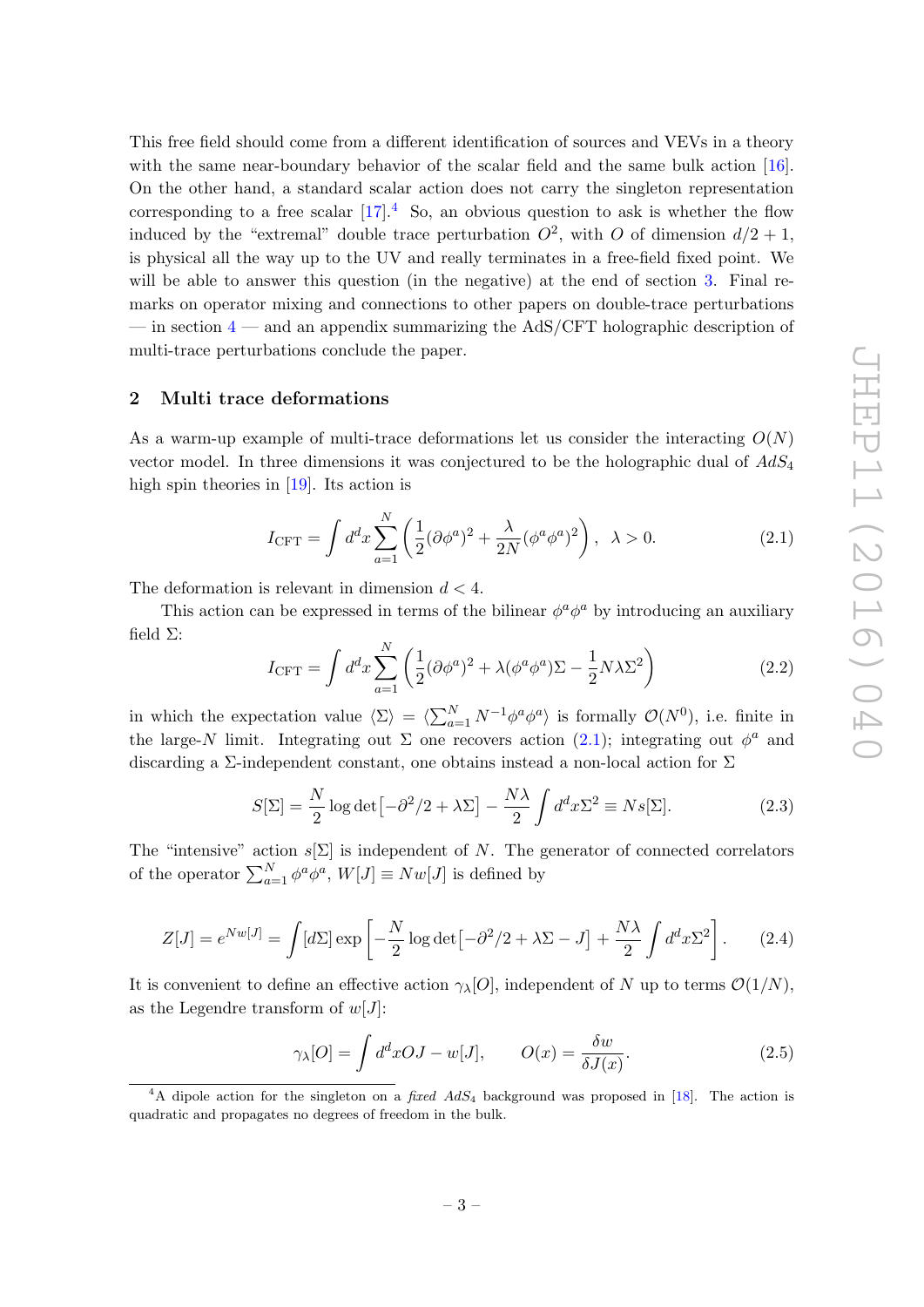This free field should come from a different identification of sources and VEVs in a theory with the same near-boundary behavior of the scalar field and the same bulk action [\[16\]](#page-16-13). On the other hand, a standard scalar action does not carry the singleton representation corresponding to a free scalar  $[17]$ .<sup>[4](#page-3-1)</sup> So, an obvious question to ask is whether the flow induced by the "extremal" double trace perturbation  $O^2$ , with O of dimension  $d/2 + 1$ , is physical all the way up to the UV and really terminates in a free-field fixed point. We will be able to answer this question (in the negative) at the end of section [3.](#page-5-0) Final remarks on operator mixing and connections to other papers on double-trace perturbations — in section  $4$  — and an appendix summarizing the AdS/CFT holographic description of multi-trace perturbations conclude the paper.

#### <span id="page-3-0"></span>2 Multi trace deformations

As a warm-up example of multi-trace deformations let us consider the interacting  $O(N)$ vector model. In three dimensions it was conjectured to be the holographic dual of  $AdS_4$ high spin theories in [\[19\]](#page-17-0). Its action is

<span id="page-3-2"></span>
$$
I_{\text{CFT}} = \int d^d x \sum_{a=1}^N \left( \frac{1}{2} (\partial \phi^a)^2 + \frac{\lambda}{2N} (\phi^a \phi^a)^2 \right), \quad \lambda > 0. \tag{2.1}
$$

The deformation is relevant in dimension  $d < 4$ .

This action can be expressed in terms of the bilinear  $\phi^a \phi^a$  by introducing an auxiliary field Σ:

$$
I_{\text{CFT}} = \int d^d x \sum_{a=1}^N \left( \frac{1}{2} (\partial \phi^a)^2 + \lambda (\phi^a \phi^a) \Sigma - \frac{1}{2} N \lambda \Sigma^2 \right) \tag{2.2}
$$

in which the expectation value  $\langle \Sigma \rangle = \langle \sum_{a=1}^{N} N^{-1} \phi^a \phi^a \rangle$  is formally  $\mathcal{O}(N^0)$ , i.e. finite in the large-N limit. Integrating out  $\Sigma$  one recovers action [\(2.1\)](#page-3-2); integrating out  $\phi^a$  and discarding a  $\Sigma$ -independent constant, one obtains instead a non-local action for  $\Sigma$ 

$$
S[\Sigma] = \frac{N}{2} \log \det \left[ -\frac{\partial^2}{2} + \lambda \Sigma \right] - \frac{N\lambda}{2} \int d^d x \Sigma^2 \equiv N s[\Sigma]. \tag{2.3}
$$

The "intensive" action  $s[\Sigma]$  is independent of N. The generator of connected correlators of the operator  $\sum_{a=1}^{N} \phi^a \phi^a$ ,  $W[J] \equiv Nw[J]$  is defined by

<span id="page-3-3"></span>
$$
Z[J] = e^{Nw[J]} = \int [d\Sigma] \exp\left[-\frac{N}{2}\log\det[-\partial^2/2 + \lambda\Sigma - J] + \frac{N\lambda}{2}\int d^d x \Sigma^2\right].
$$
 (2.4)

It is convenient to define an effective action  $\gamma_{\lambda}[O]$ , independent of N up to terms  $\mathcal{O}(1/N)$ , as the Legendre transform of  $w[J]$ :

$$
\gamma_{\lambda}[O] = \int d^d x OJ - w[J], \qquad O(x) = \frac{\delta w}{\delta J(x)}.\tag{2.5}
$$

<span id="page-3-1"></span><sup>&</sup>lt;sup>4</sup>A dipole action for the singleton on a *fixed AdS*<sub>4</sub> background was proposed in [\[18\]](#page-17-1). The action is quadratic and propagates no degrees of freedom in the bulk.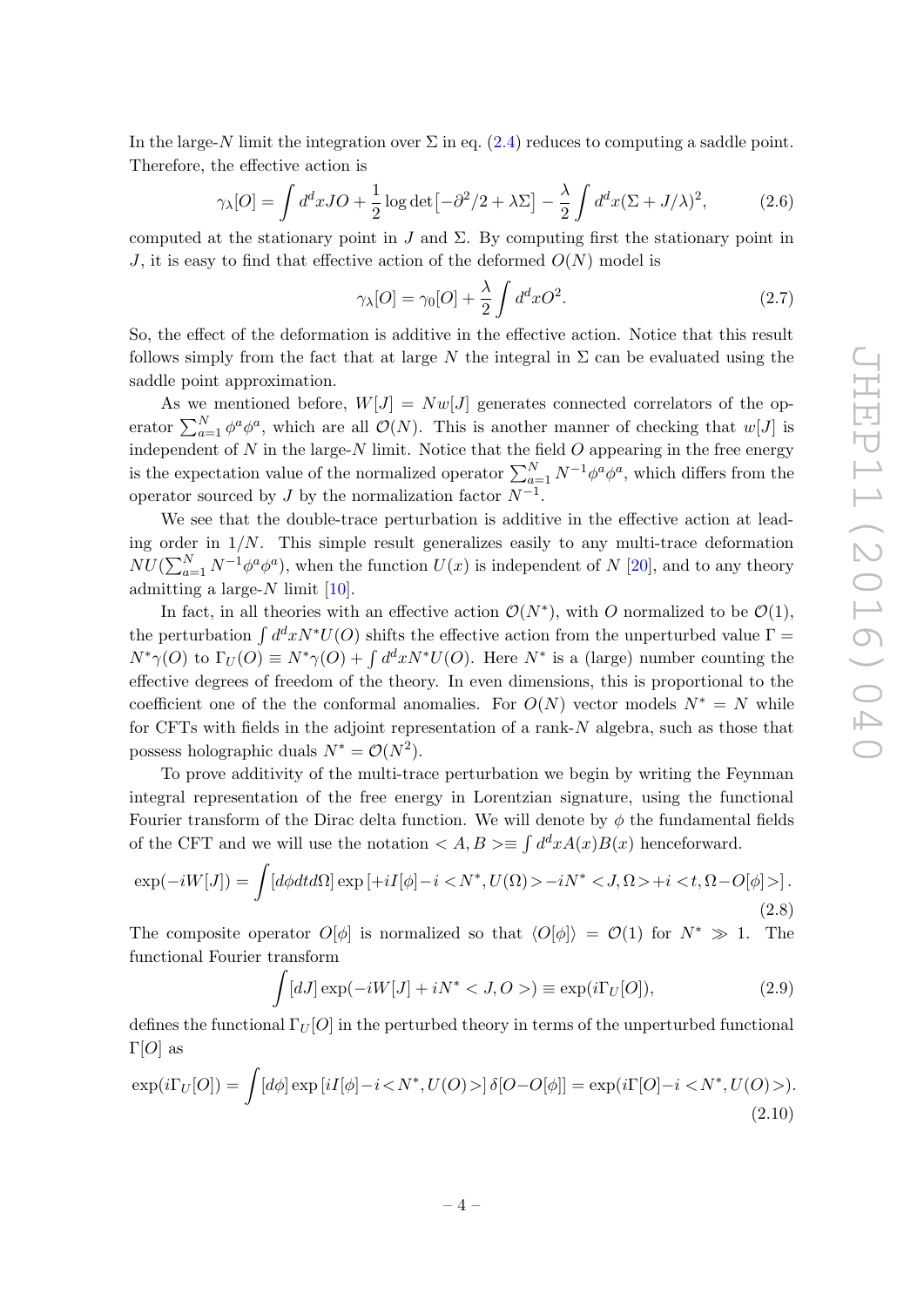In the large-N limit the integration over  $\Sigma$  in eq. [\(2.4\)](#page-3-3) reduces to computing a saddle point. Therefore, the effective action is

$$
\gamma_{\lambda}[O] = \int d^d x J O + \frac{1}{2} \log \det \left[ -\partial^2 / 2 + \lambda \Sigma \right] - \frac{\lambda}{2} \int d^d x (\Sigma + J/\lambda)^2, \tag{2.6}
$$

computed at the stationary point in J and  $\Sigma$ . By computing first the stationary point in J, it is easy to find that effective action of the deformed  $O(N)$  model is

$$
\gamma_{\lambda}[O] = \gamma_0[O] + \frac{\lambda}{2} \int d^d x O^2. \tag{2.7}
$$

So, the effect of the deformation is additive in the effective action. Notice that this result follows simply from the fact that at large N the integral in  $\Sigma$  can be evaluated using the saddle point approximation.

As we mentioned before,  $W[J] = Nw[J]$  generates connected correlators of the operator  $\sum_{a=1}^{N} \phi^a \phi^a$ , which are all  $\mathcal{O}(N)$ . This is another manner of checking that  $w[J]$  is independent of  $N$  in the large- $N$  limit. Notice that the field  $O$  appearing in the free energy is the expectation value of the normalized operator  $\sum_{a=1}^{N} N^{-1} \phi^a \phi^a$ , which differs from the operator sourced by J by the normalization factor  $N^{-1}$ .

We see that the double-trace perturbation is additive in the effective action at leading order in  $1/N$ . This simple result generalizes easily to any multi-trace deformation  $NU(\sum_{a=1}^{N} N^{-1} \phi^a \phi^a)$ , when the function  $U(x)$  is independent of N [\[20\]](#page-17-2), and to any theory admitting a large- $N$  limit [\[10\]](#page-16-7).

In fact, in all theories with an effective action  $\mathcal{O}(N^*)$ , with O normalized to be  $\mathcal{O}(1)$ , the perturbation  $\int d^d x N^*U(0)$  shifts the effective action from the unperturbed value  $\Gamma =$  $N^*\gamma(O)$  to  $\Gamma_U(O) \equiv N^*\gamma(O) + \int d^d x N^* U(O)$ . Here  $N^*$  is a (large) number counting the effective degrees of freedom of the theory. In even dimensions, this is proportional to the coefficient one of the the conformal anomalies. For  $O(N)$  vector models  $N^* = N$  while for CFTs with fields in the adjoint representation of a rank-N algebra, such as those that possess holographic duals  $N^* = \mathcal{O}(N^2)$ .

To prove additivity of the multi-trace perturbation we begin by writing the Feynman integral representation of the free energy in Lorentzian signature, using the functional Fourier transform of the Dirac delta function. We will denote by  $\phi$  the fundamental fields of the CFT and we will use the notation  $\langle A, B \rangle \equiv \int d^d x A(x) B(x)$  henceforward.

$$
\exp(-iW[J]) = \int [d\phi dt d\Omega] \exp\left[ +iI[\phi] - i \langle N^*, U(\Omega) \rangle - iN^* \langle J, \Omega \rangle + i \langle t, \Omega - O[\phi] \rangle \right]. \tag{2.8}
$$

The composite operator  $O[\phi]$  is normalized so that  $\langle O[\phi] \rangle = O(1)$  for  $N^* \gg 1$ . The functional Fourier transform

<span id="page-4-0"></span>
$$
\int [dJ] \exp(-iW[J] + iN^* < J, O >) \equiv \exp(i\Gamma_U[O]),\tag{2.9}
$$

defines the functional  $\Gamma_U[O]$  in the perturbed theory in terms of the unperturbed functional  $Γ[O]$  as

$$
\exp(i\Gamma_U[O]) = \int [d\phi] \exp[iI[\phi] - i \langle N^*, U(O) \rangle] \delta[O - O[\phi]] = \exp(i\Gamma[O] - i \langle N^*, U(O) \rangle). \tag{2.10}
$$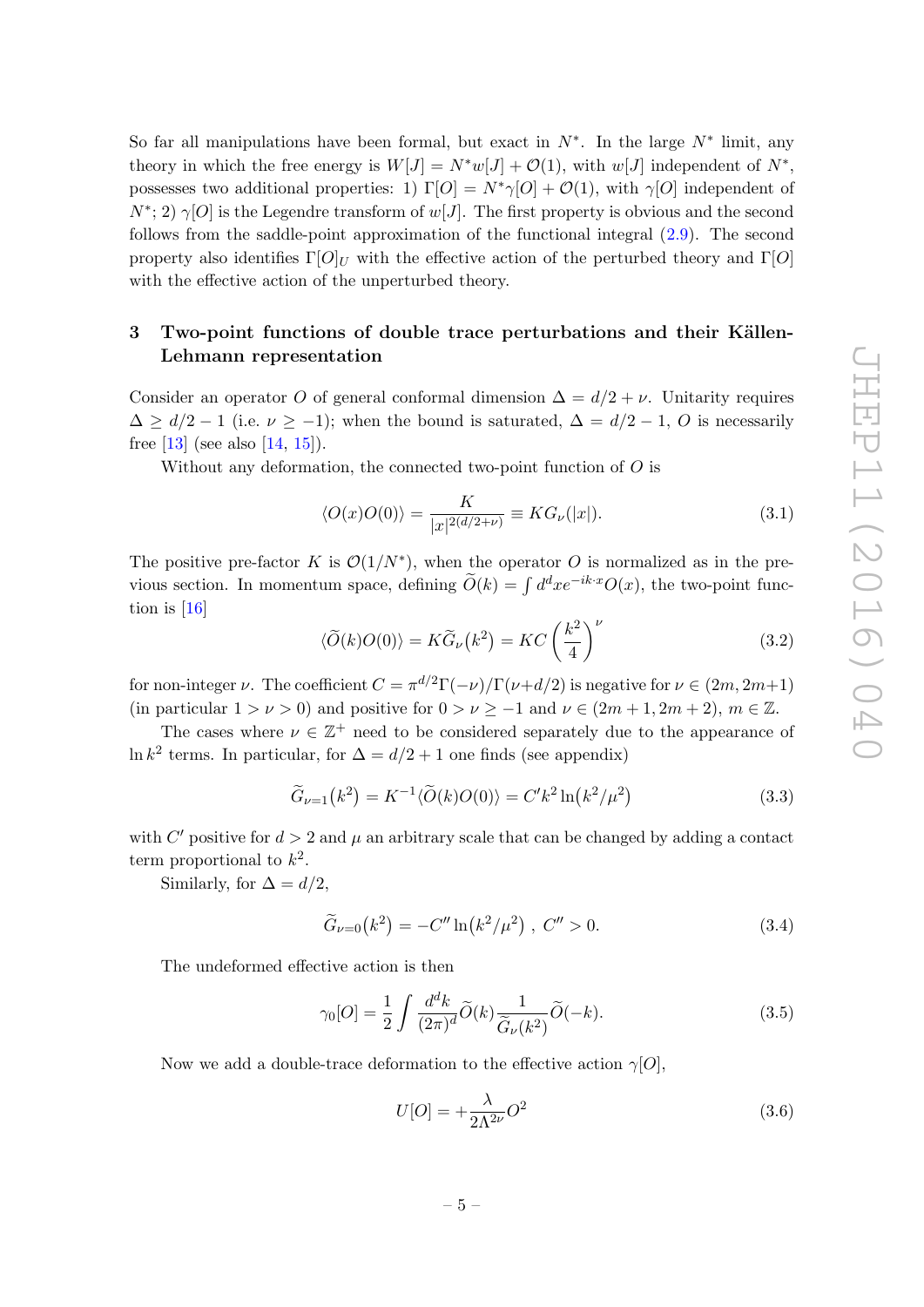So far all manipulations have been formal, but exact in  $N^*$ . In the large  $N^*$  limit, any theory in which the free energy is  $W[J] = N^*w[J] + \mathcal{O}(1)$ , with  $w[J]$  independent of  $N^*$ , possesses two additional properties: 1)  $\Gamma[O] = N^*\gamma[O] + \mathcal{O}(1)$ , with  $\gamma[O]$  independent of  $N^*$ ; 2)  $\gamma$ [O] is the Legendre transform of  $w[J]$ . The first property is obvious and the second follows from the saddle-point approximation of the functional integral [\(2.9\)](#page-4-0). The second property also identifies  $\Gamma[O]_U$  with the effective action of the perturbed theory and  $\Gamma[O]$ with the effective action of the unperturbed theory.

# <span id="page-5-0"></span>3 Two-point functions of double trace perturbations and their Källen-Lehmann representation

Consider an operator O of general conformal dimension  $\Delta = d/2 + \nu$ . Unitarity requires  $\Delta \geq d/2 - 1$  (i.e.  $\nu \geq -1$ ); when the bound is saturated,  $\Delta = d/2 - 1$ , O is necessarily free [\[13\]](#page-16-10) (see also [\[14,](#page-16-11) [15\]](#page-16-12)).

Without any deformation, the connected two-point function of  $O$  is

$$
\langle O(x)O(0)\rangle = \frac{K}{|x|^{2(d/2+\nu)}} \equiv KG_{\nu}(|x|). \tag{3.1}
$$

The positive pre-factor K is  $\mathcal{O}(1/N^*)$ , when the operator O is normalized as in the previous section. In momentum space, defining  $\tilde{O}(k) = \int d^d x e^{-ik \cdot x} O(x)$ , the two-point function is [\[16\]](#page-16-13)

<span id="page-5-1"></span>
$$
\langle \widetilde{O}(k)O(0)\rangle = K\widetilde{G}_{\nu}(k^2) = KC \left(\frac{k^2}{4}\right)^{\nu}
$$
\n(3.2)

for non-integer  $\nu$ . The coefficient  $C = \pi^{d/2}\Gamma(-\nu)/\Gamma(\nu+d/2)$  is negative for  $\nu \in (2m, 2m+1)$ (in particular  $1 > \nu > 0$ ) and positive for  $0 > \nu > -1$  and  $\nu \in (2m + 1, 2m + 2), m \in \mathbb{Z}$ .

The cases where  $\nu \in \mathbb{Z}^+$  need to be considered separately due to the appearance of ln  $k^2$  terms. In particular, for  $\Delta = d/2 + 1$  one finds (see appendix)

$$
\widetilde{G}_{\nu=1}(k^2) = K^{-1} \langle \widetilde{O}(k) O(0) \rangle = C' k^2 \ln \left( k^2 / \mu^2 \right) \tag{3.3}
$$

with C' positive for  $d > 2$  and  $\mu$  an arbitrary scale that can be changed by adding a contact term proportional to  $k^2$ .

Similarly, for  $\Delta = d/2$ ,

$$
\widetilde{G}_{\nu=0}(k^2) = -C'' \ln(k^2/\mu^2) , C'' > 0.
$$
\n(3.4)

The undeformed effective action is then

$$
\gamma_0[O] = \frac{1}{2} \int \frac{d^d k}{(2\pi)^d} \widetilde{O}(k) \frac{1}{\widetilde{G}_{\nu}(k^2)} \widetilde{O}(-k). \tag{3.5}
$$

Now we add a double-trace deformation to the effective action  $\gamma[O]$ ,

$$
U[O] = +\frac{\lambda}{2\Lambda^{2\nu}}O^2\tag{3.6}
$$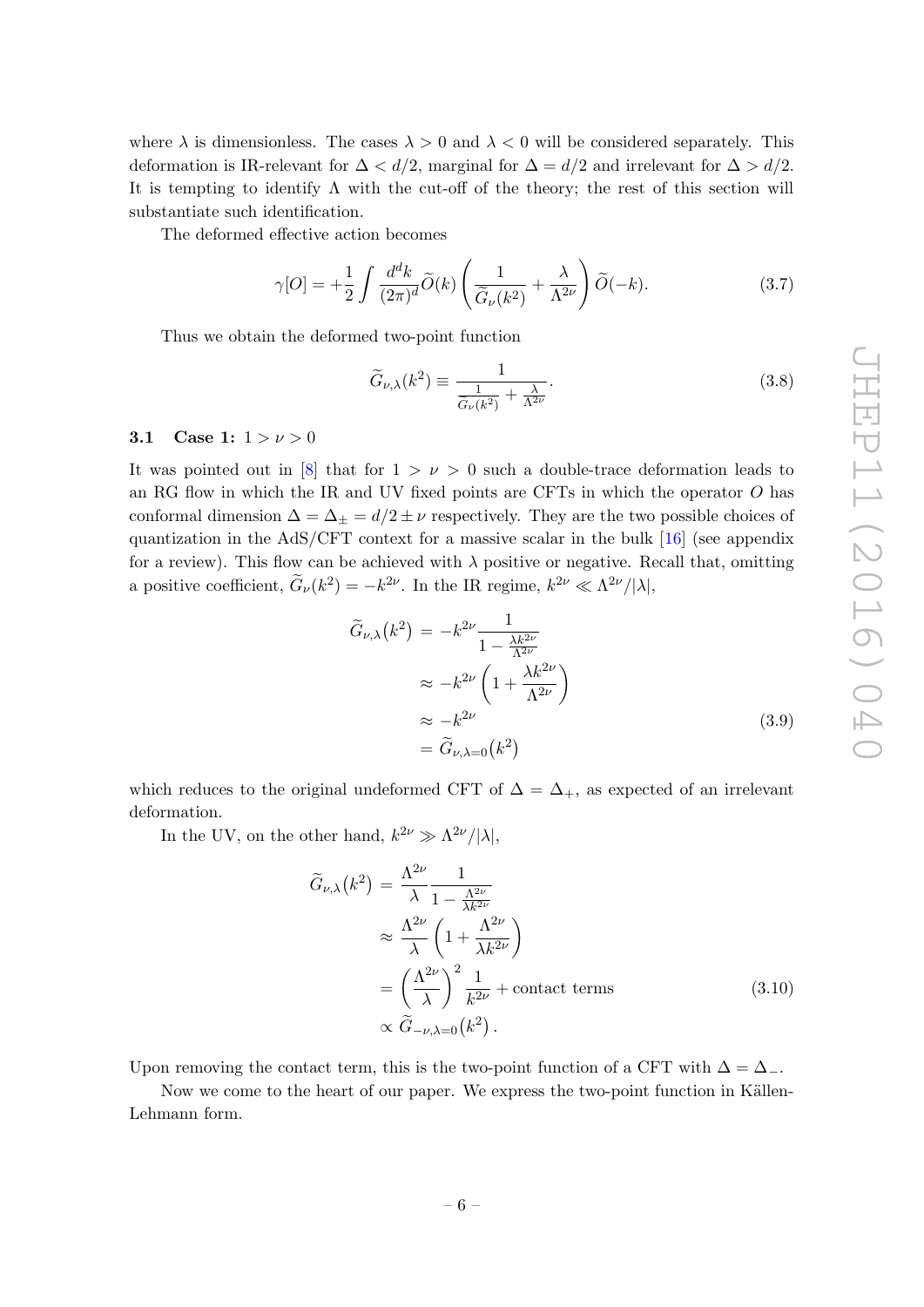where  $\lambda$  is dimensionless. The cases  $\lambda > 0$  and  $\lambda < 0$  will be considered separately. This deformation is IR-relevant for  $\Delta < d/2$ , marginal for  $\Delta = d/2$  and irrelevant for  $\Delta > d/2$ . It is tempting to identify  $\Lambda$  with the cut-off of the theory; the rest of this section will substantiate such identification.

The deformed effective action becomes

$$
\gamma[O] = +\frac{1}{2} \int \frac{d^d k}{(2\pi)^d} \widetilde{O}(k) \left( \frac{1}{\widetilde{G}_{\nu}(k^2)} + \frac{\lambda}{\Lambda^{2\nu}} \right) \widetilde{O}(-k). \tag{3.7}
$$

Thus we obtain the deformed two-point function

$$
\widetilde{G}_{\nu,\lambda}(k^2) \equiv \frac{1}{\frac{1}{\widetilde{G}_{\nu}(k^2)} + \frac{\lambda}{\Lambda^{2\nu}}}.
$$
\n(3.8)

#### <span id="page-6-0"></span>3.1 Case 1:  $1 > \nu > 0$

It was pointed out in [\[8\]](#page-16-4) that for  $1 > \nu > 0$  such a double-trace deformation leads to an RG flow in which the IR and UV fixed points are CFTs in which the operator O has conformal dimension  $\Delta = \Delta_{\pm} = d/2 \pm \nu$  respectively. They are the two possible choices of quantization in the AdS/CFT context for a massive scalar in the bulk  $[16]$  (see appendix for a review). This flow can be achieved with  $\lambda$  positive or negative. Recall that, omitting a positive coefficient,  $\tilde{G}_{\nu}(k^2) = -k^{2\nu}$ . In the IR regime,  $k^{2\nu} \ll \Lambda^{2\nu}/|\lambda|$ ,

$$
\widetilde{G}_{\nu,\lambda}(k^2) = -k^{2\nu} \frac{1}{1 - \frac{\lambda k^{2\nu}}{\Lambda^{2\nu}}}
$$
\n
$$
\approx -k^{2\nu} \left(1 + \frac{\lambda k^{2\nu}}{\Lambda^{2\nu}}\right)
$$
\n
$$
\approx -k^{2\nu}
$$
\n
$$
= \widetilde{G}_{\nu,\lambda=0}(k^2)
$$
\n(3.9)

which reduces to the original undeformed CFT of  $\Delta = \Delta_{+}$ , as expected of an irrelevant deformation.

In the UV, on the other hand,  $k^{2\nu} \gg \Lambda^{2\nu}/|\lambda|$ ,

$$
\widetilde{G}_{\nu,\lambda}(k^2) = \frac{\Lambda^{2\nu}}{\lambda} \frac{1}{1 - \frac{\Lambda^{2\nu}}{\lambda k^{2\nu}}} \n\approx \frac{\Lambda^{2\nu}}{\lambda} \left( 1 + \frac{\Lambda^{2\nu}}{\lambda k^{2\nu}} \right) \n= \left( \frac{\Lambda^{2\nu}}{\lambda} \right)^2 \frac{1}{k^{2\nu}} + \text{contact terms} \n\propto \widetilde{G}_{-\nu,\lambda=0}(k^2) .
$$
\n(3.10)

Upon removing the contact term, this is the two-point function of a CFT with  $\Delta = \Delta_{-}$ .

Now we come to the heart of our paper. We express the two-point function in Källen-Lehmann form.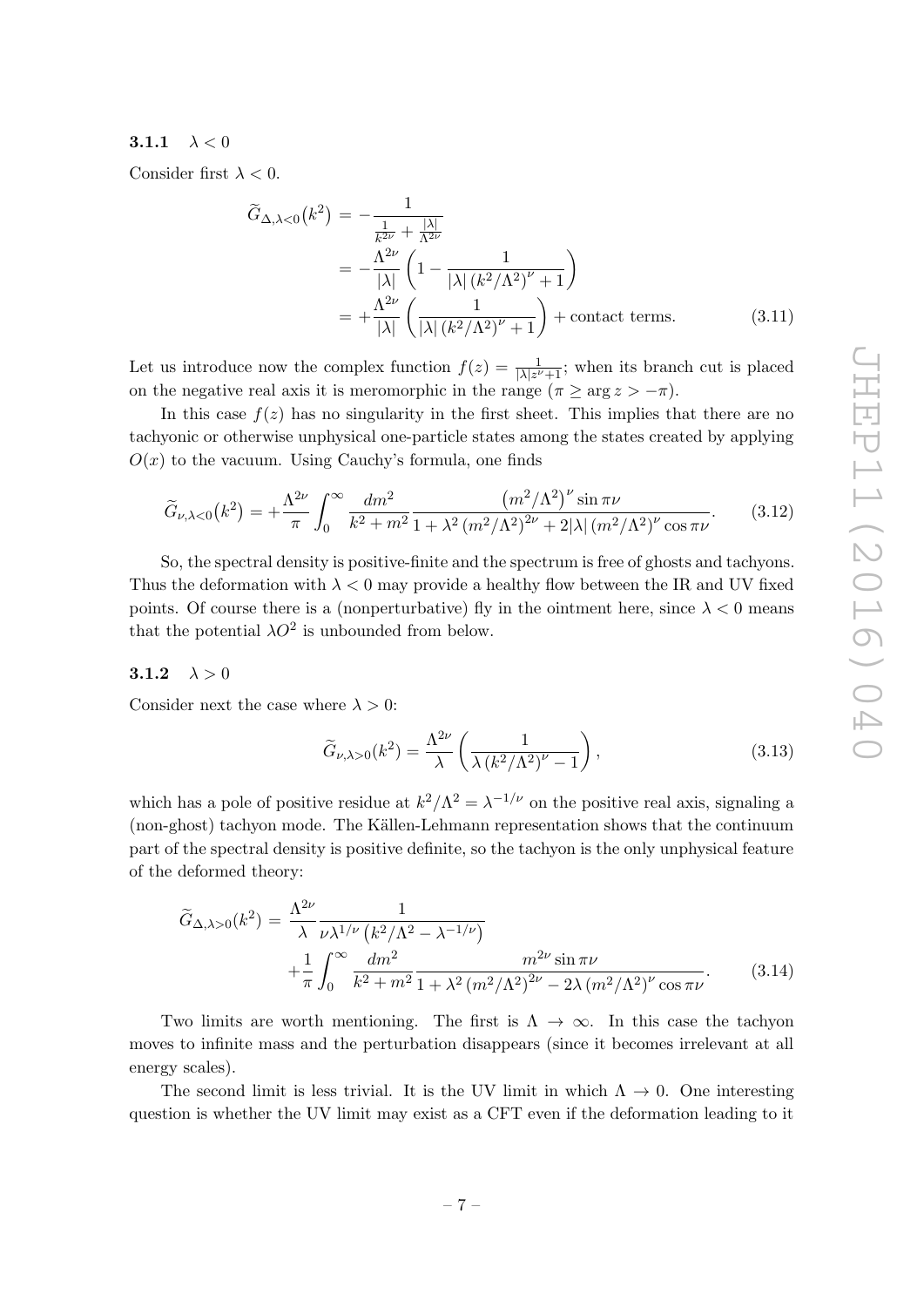# <span id="page-7-0"></span>3.1.1  $\lambda < 0$

Consider first  $\lambda < 0$ .

$$
\widetilde{G}_{\Delta,\lambda<0}(k^2) = -\frac{1}{\frac{1}{k^{2\nu}} + \frac{|\lambda|}{\Lambda^{2\nu}}}
$$
\n
$$
= -\frac{\Lambda^{2\nu}}{|\lambda|} \left(1 - \frac{1}{|\lambda| \left(k^2/\Lambda^2\right)^{\nu} + 1}\right)
$$
\n
$$
= +\frac{\Lambda^{2\nu}}{|\lambda|} \left(\frac{1}{|\lambda| \left(k^2/\Lambda^2\right)^{\nu} + 1}\right) + \text{contact terms.} \tag{3.11}
$$

Let us introduce now the complex function  $f(z) = \frac{1}{|\lambda|z^{\nu}+1}$ ; when its branch cut is placed on the negative real axis it is meromorphic in the range  $(\pi \ge \arg z > -\pi)$ .

In this case  $f(z)$  has no singularity in the first sheet. This implies that there are no tachyonic or otherwise unphysical one-particle states among the states created by applying  $O(x)$  to the vacuum. Using Cauchy's formula, one finds

$$
\widetilde{G}_{\nu,\lambda<0}(k^2) = +\frac{\Lambda^{2\nu}}{\pi} \int_0^\infty \frac{dm^2}{k^2 + m^2} \frac{\left(m^2/\Lambda^2\right)^{\nu} \sin \pi \nu}{1 + \lambda^2 \left(m^2/\Lambda^2\right)^{2\nu} + 2|\lambda| \left(m^2/\Lambda^2\right)^{\nu} \cos \pi \nu}.
$$
\n(3.12)

So, the spectral density is positive-finite and the spectrum is free of ghosts and tachyons. Thus the deformation with  $\lambda < 0$  may provide a healthy flow between the IR and UV fixed points. Of course there is a (nonperturbative) fly in the ointment here, since  $\lambda < 0$  means that the potential  $\lambda O^2$  is unbounded from below.

#### <span id="page-7-1"></span>3.1.2  $\lambda > 0$

Consider next the case where  $\lambda > 0$ :

$$
\widetilde{G}_{\nu,\lambda>0}(k^2) = \frac{\Lambda^{2\nu}}{\lambda} \left( \frac{1}{\lambda \left( k^2/\Lambda^2 \right)^{\nu} - 1} \right),\tag{3.13}
$$

which has a pole of positive residue at  $k^2/\Lambda^2 = \lambda^{-1/\nu}$  on the positive real axis, signaling a (non-ghost) tachyon mode. The Källen-Lehmann representation shows that the continuum part of the spectral density is positive definite, so the tachyon is the only unphysical feature of the deformed theory:

$$
\tilde{G}_{\Delta,\lambda>0}(k^2) = \frac{\Lambda^{2\nu}}{\lambda} \frac{1}{\nu \lambda^{1/\nu} \left(k^2/\Lambda^2 - \lambda^{-1/\nu}\right)} + \frac{1}{\pi} \int_0^\infty \frac{dm^2}{k^2 + m^2} \frac{m^{2\nu} \sin \pi \nu}{1 + \lambda^2 \left(m^2/\Lambda^2\right)^{2\nu} - 2\lambda \left(m^2/\Lambda^2\right)^{\nu} \cos \pi \nu}.
$$
\n(3.14)

Two limits are worth mentioning. The first is  $\Lambda \to \infty$ . In this case the tachyon moves to infinite mass and the perturbation disappears (since it becomes irrelevant at all energy scales).

The second limit is less trivial. It is the UV limit in which  $\Lambda \to 0$ . One interesting question is whether the UV limit may exist as a CFT even if the deformation leading to it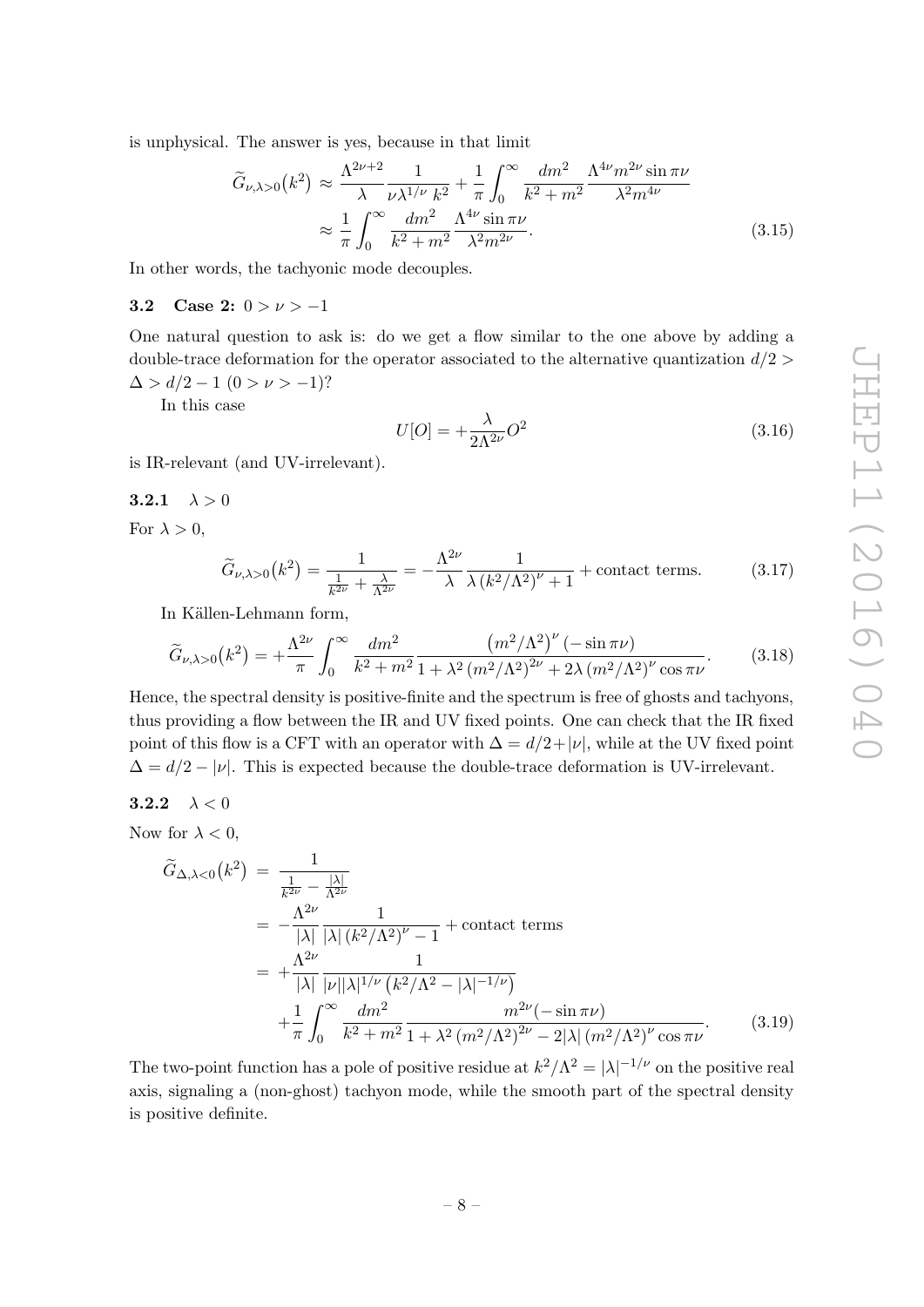is unphysical. The answer is yes, because in that limit

$$
\widetilde{G}_{\nu,\lambda>0}(k^2) \approx \frac{\Lambda^{2\nu+2}}{\lambda} \frac{1}{\nu\lambda^{1/\nu} k^2} + \frac{1}{\pi} \int_0^\infty \frac{dm^2}{k^2 + m^2} \frac{\Lambda^{4\nu} m^{2\nu} \sin \pi \nu}{\lambda^2 m^{4\nu}}
$$

$$
\approx \frac{1}{\pi} \int_0^\infty \frac{dm^2}{k^2 + m^2} \frac{\Lambda^{4\nu} \sin \pi \nu}{\lambda^2 m^{2\nu}}.
$$
(3.15)

In other words, the tachyonic mode decouples.

#### <span id="page-8-0"></span>3.2 Case 2:  $0 > \nu > -1$

One natural question to ask is: do we get a flow similar to the one above by adding a double-trace deformation for the operator associated to the alternative quantization  $d/2$  $\Delta > d/2 - 1$   $(0 > \nu > -1)$ ?

In this case

$$
U[O] = +\frac{\lambda}{2\Lambda^{2\nu}}O^2\tag{3.16}
$$

is IR-relevant (and UV-irrelevant).

<span id="page-8-1"></span>
$$
\textbf{3.2.1} \quad \lambda > 0
$$

For  $\lambda > 0$ ,

$$
\widetilde{G}_{\nu,\lambda>0}(k^2) = \frac{1}{\frac{1}{k^{2\nu}} + \frac{\lambda}{\Lambda^{2\nu}}} = -\frac{\Lambda^{2\nu}}{\lambda} \frac{1}{\lambda (k^2/\Lambda^2)^\nu + 1} + \text{contact terms.} \tag{3.17}
$$

In Källen-Lehmann form,

$$
\widetilde{G}_{\nu,\lambda>0}(k^2) = +\frac{\Lambda^{2\nu}}{\pi} \int_0^\infty \frac{dm^2}{k^2 + m^2} \frac{\left(m^2/\Lambda^2\right)^{\nu} \left(-\sin \pi \nu\right)}{1 + \lambda^2 \left(m^2/\Lambda^2\right)^{2\nu} + 2\lambda \left(m^2/\Lambda^2\right)^{\nu} \cos \pi \nu}.\tag{3.18}
$$

Hence, the spectral density is positive-finite and the spectrum is free of ghosts and tachyons, thus providing a flow between the IR and UV fixed points. One can check that the IR fixed point of this flow is a CFT with an operator with  $\Delta = d/2 + |\nu|$ , while at the UV fixed point  $\Delta = d/2 - |\nu|$ . This is expected because the double-trace deformation is UV-irrelevant.

<span id="page-8-2"></span>
$$
\textbf{3.2.2} \quad \lambda < 0
$$

Now for  $\lambda < 0$ ,

$$
\tilde{G}_{\Delta,\lambda<0}(k^2) = \frac{1}{\frac{1}{k^{2\nu}} - \frac{|\lambda|}{\Lambda^{2\nu}}}
$$
\n
$$
= -\frac{\Lambda^{2\nu}}{|\lambda|} \frac{1}{|\lambda| (k^2/\Lambda^2)^{\nu} - 1} + \text{contact terms}
$$
\n
$$
= +\frac{\Lambda^{2\nu}}{|\lambda|} \frac{1}{|\nu||\lambda|^{1/\nu} (k^2/\Lambda^2 - |\lambda|^{-1/\nu})}
$$
\n
$$
+ \frac{1}{\pi} \int_0^\infty \frac{dm^2}{k^2 + m^2} \frac{m^{2\nu} (-\sin \pi \nu)}{1 + \lambda^2 (m^2/\Lambda^2)^{2\nu} - 2|\lambda| (m^2/\Lambda^2)^{\nu} \cos \pi \nu}.
$$
\n(3.19)

The two-point function has a pole of positive residue at  $k^2/\Lambda^2 = |\lambda|^{-1/\nu}$  on the positive real axis, signaling a (non-ghost) tachyon mode, while the smooth part of the spectral density is positive definite.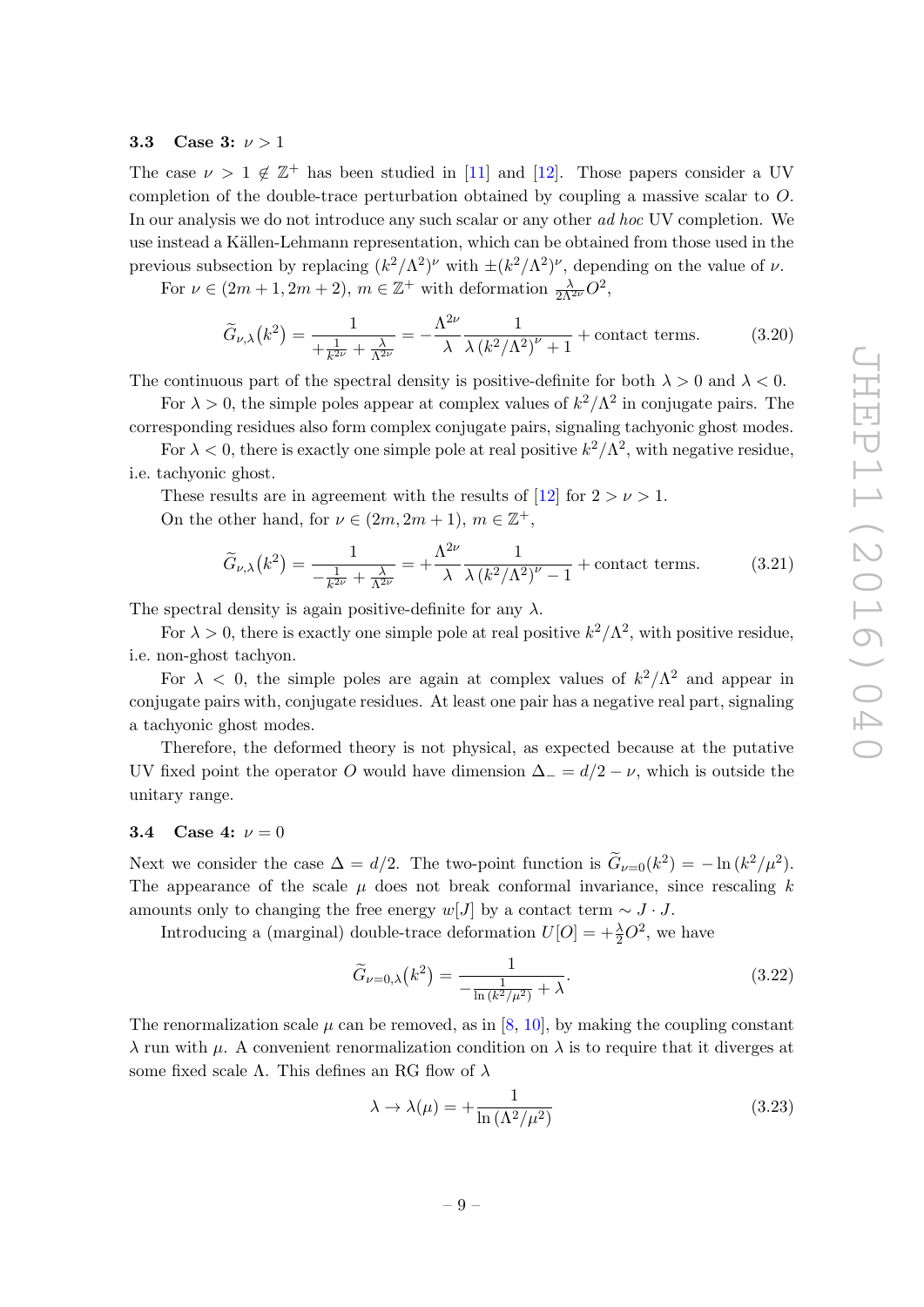#### <span id="page-9-0"></span>3.3 Case 3:  $\nu > 1$

The case  $\nu > 1 \notin \mathbb{Z}^+$  has been studied in [\[11\]](#page-16-8) and [\[12\]](#page-16-9). Those papers consider a UV completion of the double-trace perturbation obtained by coupling a massive scalar to O. In our analysis we do not introduce any such scalar or any other ad hoc UV completion. We use instead a Källen-Lehmann representation, which can be obtained from those used in the previous subsection by replacing  $(k^2/\Lambda^2)^\nu$  with  $\pm (k^2/\Lambda^2)^\nu$ , depending on the value of  $\nu$ .

For  $\nu \in (2m+1, 2m+2), m \in \mathbb{Z}^+$  with deformation  $\frac{\lambda}{2\Lambda^{2\nu}}O^2$ ,

$$
\widetilde{G}_{\nu,\lambda}(k^2) = \frac{1}{+\frac{1}{k^{2\nu}} + \frac{\lambda}{\Lambda^{2\nu}}} = -\frac{\Lambda^{2\nu}}{\lambda} \frac{1}{\lambda (k^2/\Lambda^2)^\nu + 1} + \text{contact terms.} \tag{3.20}
$$

The continuous part of the spectral density is positive-definite for both  $\lambda > 0$  and  $\lambda < 0$ .

For  $\lambda > 0$ , the simple poles appear at complex values of  $k^2/\Lambda^2$  in conjugate pairs. The

corresponding residues also form complex conjugate pairs, signaling tachyonic ghost modes.

For  $\lambda < 0$ , there is exactly one simple pole at real positive  $k^2/\Lambda^2$ , with negative residue, i.e. tachyonic ghost.

These results are in agreement with the results of [\[12\]](#page-16-9) for  $2 > \nu > 1$ . On the other hand, for  $\nu \in (2m, 2m + 1), m \in \mathbb{Z}^+,$ 

$$
\widetilde{G}_{\nu,\lambda}(k^2) = \frac{1}{-\frac{1}{k^{2\nu}} + \frac{\lambda}{\Lambda^{2\nu}}} = +\frac{\Lambda^{2\nu}}{\lambda} \frac{1}{\lambda (k^2/\Lambda^2)^\nu - 1} + \text{contact terms.} \tag{3.21}
$$

The spectral density is again positive-definite for any  $\lambda$ .

For  $\lambda > 0$ , there is exactly one simple pole at real positive  $k^2/\Lambda^2$ , with positive residue, i.e. non-ghost tachyon.

For  $\lambda$  < 0, the simple poles are again at complex values of  $k^2/\Lambda^2$  and appear in conjugate pairs with, conjugate residues. At least one pair has a negative real part, signaling a tachyonic ghost modes.

Therefore, the deformed theory is not physical, as expected because at the putative UV fixed point the operator O would have dimension  $\Delta = d/2 - \nu$ , which is outside the unitary range.

#### <span id="page-9-1"></span>3.4 Case 4:  $\nu = 0$

Next we consider the case  $\Delta = d/2$ . The two-point function is  $\tilde{G}_{\nu=0}(k^2) = -\ln(k^2/\mu^2)$ . The appearance of the scale  $\mu$  does not break conformal invariance, since rescaling k amounts only to changing the free energy w[J] by a contact term  $\sim J \cdot J$ .

Introducing a (marginal) double-trace deformation  $U[O] = +\frac{\lambda}{2}O^2$ , we have

$$
\widetilde{G}_{\nu=0,\lambda}(k^2) = \frac{1}{-\frac{1}{\ln(k^2/\mu^2)} + \lambda}.
$$
\n(3.22)

The renormalization scale  $\mu$  can be removed, as in [\[8,](#page-16-4) [10\]](#page-16-7), by making the coupling constant  $\lambda$  run with  $\mu$ . A convenient renormalization condition on  $\lambda$  is to require that it diverges at some fixed scale  $\Lambda$ . This defines an RG flow of  $\lambda$ 

$$
\lambda \to \lambda(\mu) = +\frac{1}{\ln\left(\Lambda^2/\mu^2\right)}\tag{3.23}
$$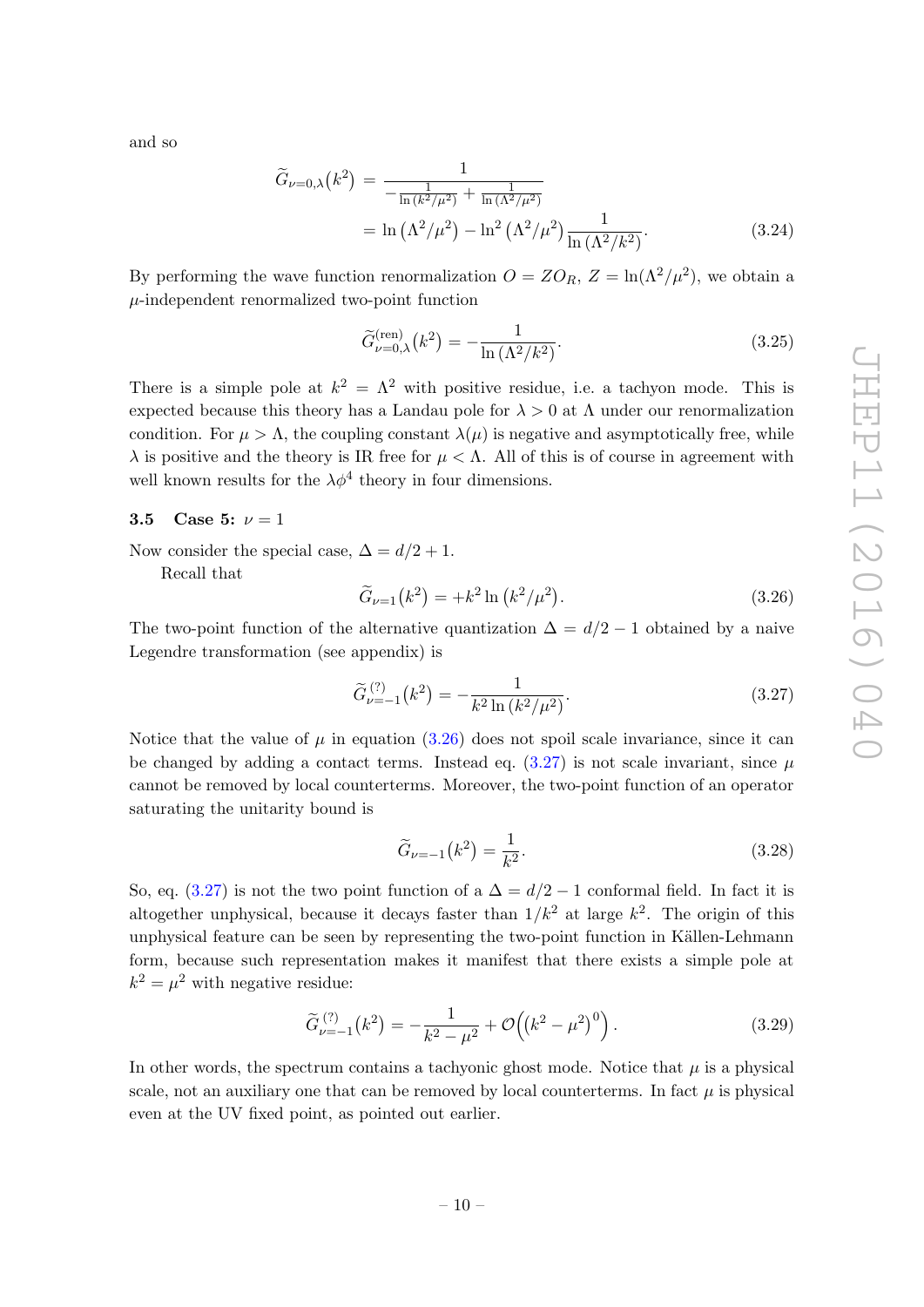and so

$$
\widetilde{G}_{\nu=0,\lambda}(k^2) = \frac{1}{-\frac{1}{\ln(k^2/\mu^2)} + \frac{1}{\ln(\Lambda^2/\mu^2)}}\n= \ln(\Lambda^2/\mu^2) - \ln^2(\Lambda^2/\mu^2)\frac{1}{\ln(\Lambda^2/k^2)}.
$$
\n(3.24)

By performing the wave function renormalization  $O = ZO_R$ ,  $Z = \ln(\Lambda^2/\mu^2)$ , we obtain a  $\mu$ -independent renormalized two-point function

$$
\widetilde{G}^{(\text{ren})}_{\nu=0,\lambda}(k^2) = -\frac{1}{\ln\left(\Lambda^2/k^2\right)}.\tag{3.25}
$$

There is a simple pole at  $k^2 = \Lambda^2$  with positive residue, i.e. a tachyon mode. This is expected because this theory has a Landau pole for  $\lambda > 0$  at  $\Lambda$  under our renormalization condition. For  $\mu > \Lambda$ , the coupling constant  $\lambda(\mu)$  is negative and asymptotically free, while  $\lambda$  is positive and the theory is IR free for  $\mu < \Lambda$ . All of this is of course in agreement with well known results for the  $\lambda \phi^4$  theory in four dimensions.

# <span id="page-10-0"></span>3.5 Case 5:  $\nu = 1$

Now consider the special case,  $\Delta = d/2 + 1$ .

Recall that

<span id="page-10-1"></span>
$$
\widetilde{G}_{\nu=1}(k^2) = +k^2 \ln (k^2/\mu^2). \tag{3.26}
$$

The two-point function of the alternative quantization  $\Delta = d/2 - 1$  obtained by a naive Legendre transformation (see appendix) is

<span id="page-10-2"></span>
$$
\widetilde{G}_{\nu=-1}^{(?)}(k^2) = -\frac{1}{k^2 \ln\left(k^2/\mu^2\right)}.\tag{3.27}
$$

Notice that the value of  $\mu$  in equation [\(3.26\)](#page-10-1) does not spoil scale invariance, since it can be changed by adding a contact terms. Instead eq.  $(3.27)$  is not scale invariant, since  $\mu$ cannot be removed by local counterterms. Moreover, the two-point function of an operator saturating the unitarity bound is

$$
\widetilde{G}_{\nu=-1}(k^2) = \frac{1}{k^2}.\tag{3.28}
$$

So, eq. [\(3.27\)](#page-10-2) is not the two point function of a  $\Delta = d/2 - 1$  conformal field. In fact it is altogether unphysical, because it decays faster than  $1/k^2$  at large  $k^2$ . The origin of this unphysical feature can be seen by representing the two-point function in Källen-Lehmann form, because such representation makes it manifest that there exists a simple pole at  $k^2 = \mu^2$  with negative residue:

$$
\widetilde{G}_{\nu=-1}^{(2)}(k^2) = -\frac{1}{k^2 - \mu^2} + \mathcal{O}\left((k^2 - \mu^2)^0\right). \tag{3.29}
$$

In other words, the spectrum contains a tachyonic ghost mode. Notice that  $\mu$  is a physical scale, not an auxiliary one that can be removed by local counterterms. In fact  $\mu$  is physical even at the UV fixed point, as pointed out earlier.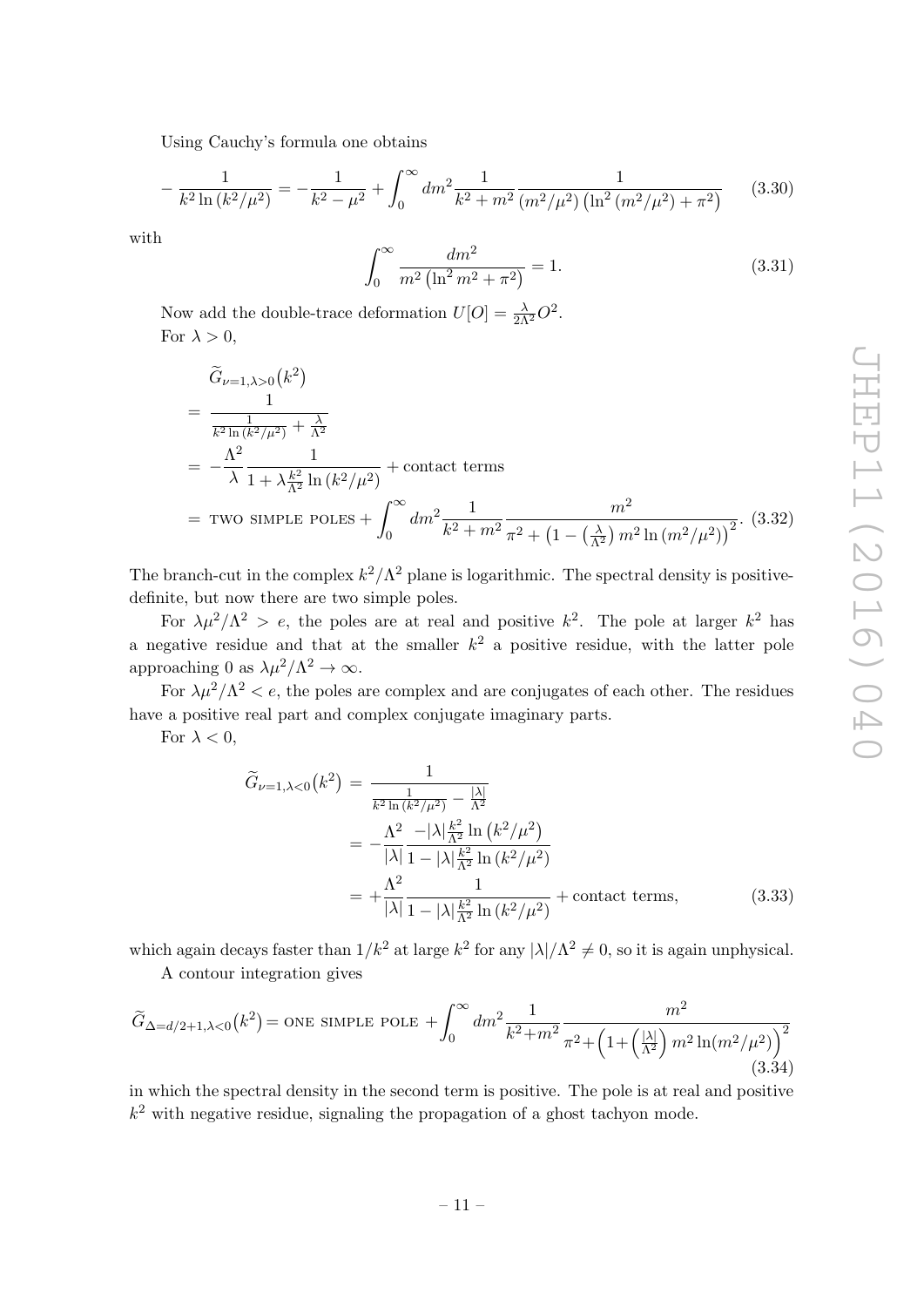Using Cauchy's formula one obtains

$$
-\frac{1}{k^2 \ln \left(\frac{k^2}{\mu^2}\right)} = -\frac{1}{k^2 - \mu^2} + \int_0^\infty dm^2 \frac{1}{k^2 + m^2} \frac{1}{\left(m^2/\mu^2\right) \left(\ln^2 \left(m^2/\mu^2\right) + \pi^2\right)}\tag{3.30}
$$

with

$$
\int_0^\infty \frac{dm^2}{m^2 \left(\ln^2 m^2 + \pi^2\right)} = 1.
$$
\n(3.31)

Now add the double-trace deformation  $U[O] = \frac{\lambda}{2\Lambda^2}O^2$ . For  $\lambda > 0$ ,

$$
\tilde{G}_{\nu=1,\lambda>0}(k^2)
$$
\n
$$
= \frac{1}{\frac{1}{k^2 \ln(k^2/\mu^2)} + \frac{\lambda}{\Lambda^2}}
$$
\n
$$
= -\frac{\Lambda^2}{\lambda} \frac{1}{1 + \lambda \frac{k^2}{\Lambda^2} \ln(k^2/\mu^2)} + \text{contact terms}
$$
\n
$$
= \text{Two simple Poles} + \int_0^\infty dm^2 \frac{1}{k^2 + m^2} \frac{m^2}{\pi^2 + \left(1 - \left(\frac{\lambda}{\Lambda^2}\right) m^2 \ln(m^2/\mu^2)\right)^2}.
$$
\n(3.32)

The branch-cut in the complex  $k^2/\Lambda^2$  plane is logarithmic. The spectral density is positivedefinite, but now there are two simple poles.

For  $\lambda \mu^2/\Lambda^2 > e$ , the poles are at real and positive  $k^2$ . The pole at larger  $k^2$  has a negative residue and that at the smaller  $k^2$  a positive residue, with the latter pole approaching 0 as  $\lambda \mu^2 / \Lambda^2 \to \infty$ .

For  $\lambda \mu^2/\Lambda^2 < e$ , the poles are complex and are conjugates of each other. The residues have a positive real part and complex conjugate imaginary parts.

For  $\lambda < 0$ ,

$$
\widetilde{G}_{\nu=1,\lambda<0}(k^2) = \frac{1}{\frac{1}{k^2 \ln(k^2/\mu^2)} - \frac{|\lambda|}{\Lambda^2}} \\
= -\frac{\Lambda^2}{|\lambda|} \frac{-|\lambda| \frac{k^2}{\Lambda^2} \ln(k^2/\mu^2)}{1 - |\lambda| \frac{k^2}{\Lambda^2} \ln(k^2/\mu^2)} \\
= +\frac{\Lambda^2}{|\lambda|} \frac{1}{1 - |\lambda| \frac{k^2}{\Lambda^2} \ln(k^2/\mu^2)} + \text{contact terms},
$$
\n(3.33)

which again decays faster than  $1/k^2$  at large  $k^2$  for any  $|\lambda|/\Lambda^2 \neq 0$ , so it is again unphysical. A contour integration gives

$$
\widetilde{G}_{\Delta=d/2+1,\lambda<0}(k^2) = \text{ONE SIMPLE POLE} + \int_0^\infty dm^2 \frac{1}{k^2 + m^2} \frac{m^2}{\pi^2 + \left(1 + \left(\frac{|\lambda|}{\Lambda^2}\right) m^2 \ln(m^2/\mu^2)\right)^2}
$$
\n(3.34)

in which the spectral density in the second term is positive. The pole is at real and positive  $k<sup>2</sup>$  with negative residue, signaling the propagation of a ghost tachyon mode.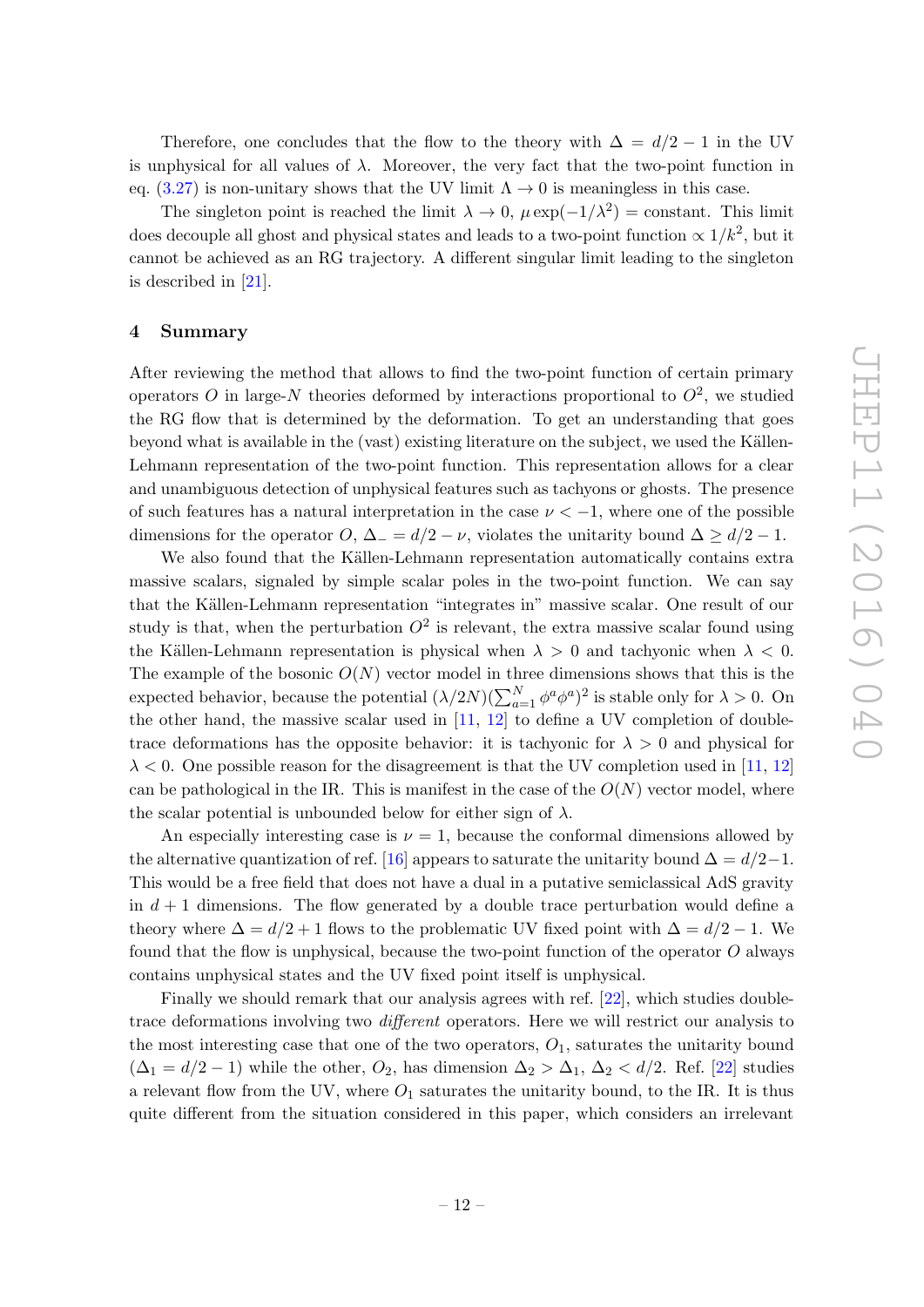Therefore, one concludes that the flow to the theory with  $\Delta = d/2 - 1$  in the UV is unphysical for all values of  $\lambda$ . Moreover, the very fact that the two-point function in eq. [\(3.27\)](#page-10-2) is non-unitary shows that the UV limit  $\Lambda \to 0$  is meaningless in this case.

The singleton point is reached the limit  $\lambda \to 0$ ,  $\mu \exp(-1/\lambda^2) = \text{constant}$ . This limit does decouple all ghost and physical states and leads to a two-point function  $\propto 1/k^2$ , but it cannot be achieved as an RG trajectory. A different singular limit leading to the singleton is described in [\[21\]](#page-17-3).

#### <span id="page-12-0"></span>4 Summary

After reviewing the method that allows to find the two-point function of certain primary operators O in large-N theories deformed by interactions proportional to  $O^2$ , we studied the RG flow that is determined by the deformation. To get an understanding that goes beyond what is available in the (vast) existing literature on the subject, we used the Källen-Lehmann representation of the two-point function. This representation allows for a clear and unambiguous detection of unphysical features such as tachyons or ghosts. The presence of such features has a natural interpretation in the case  $\nu < -1$ , where one of the possible dimensions for the operator O,  $\Delta = d/2 - \nu$ , violates the unitarity bound  $\Delta > d/2 - 1$ .

We also found that the Källen-Lehmann representation automatically contains extra massive scalars, signaled by simple scalar poles in the two-point function. We can say that the Källen-Lehmann representation "integrates in" massive scalar. One result of our study is that, when the perturbation  $O^2$  is relevant, the extra massive scalar found using the Källen-Lehmann representation is physical when  $\lambda > 0$  and tachyonic when  $\lambda < 0$ . The example of the bosonic  $O(N)$  vector model in three dimensions shows that this is the expected behavior, because the potential  $(\lambda/2N)(\sum_{a=1}^{N} \phi^a \phi^a)^2$  is stable only for  $\lambda > 0$ . On the other hand, the massive scalar used in [\[11,](#page-16-8) [12\]](#page-16-9) to define a UV completion of doubletrace deformations has the opposite behavior: it is tachyonic for  $\lambda > 0$  and physical for  $\lambda < 0$ . One possible reason for the disagreement is that the UV completion used in [\[11,](#page-16-8) [12\]](#page-16-9) can be pathological in the IR. This is manifest in the case of the  $O(N)$  vector model, where the scalar potential is unbounded below for either sign of  $\lambda$ .

An especially interesting case is  $\nu = 1$ , because the conformal dimensions allowed by the alternative quantization of ref. [\[16\]](#page-16-13) appears to saturate the unitarity bound  $\Delta = d/2-1$ . This would be a free field that does not have a dual in a putative semiclassical AdS gravity in  $d + 1$  dimensions. The flow generated by a double trace perturbation would define a theory where  $\Delta = d/2 + 1$  flows to the problematic UV fixed point with  $\Delta = d/2 - 1$ . We found that the flow is unphysical, because the two-point function of the operator  $O$  always contains unphysical states and the UV fixed point itself is unphysical.

Finally we should remark that our analysis agrees with ref. [\[22\]](#page-17-4), which studies doubletrace deformations involving two different operators. Here we will restrict our analysis to the most interesting case that one of the two operators,  $O_1$ , saturates the unitarity bound  $(\Delta_1 = d/2 - 1)$  while the other,  $O_2$ , has dimension  $\Delta_2 > \Delta_1$ ,  $\Delta_2 < d/2$ . Ref. [\[22\]](#page-17-4) studies a relevant flow from the UV, where  $O_1$  saturates the unitarity bound, to the IR. It is thus quite different from the situation considered in this paper, which considers an irrelevant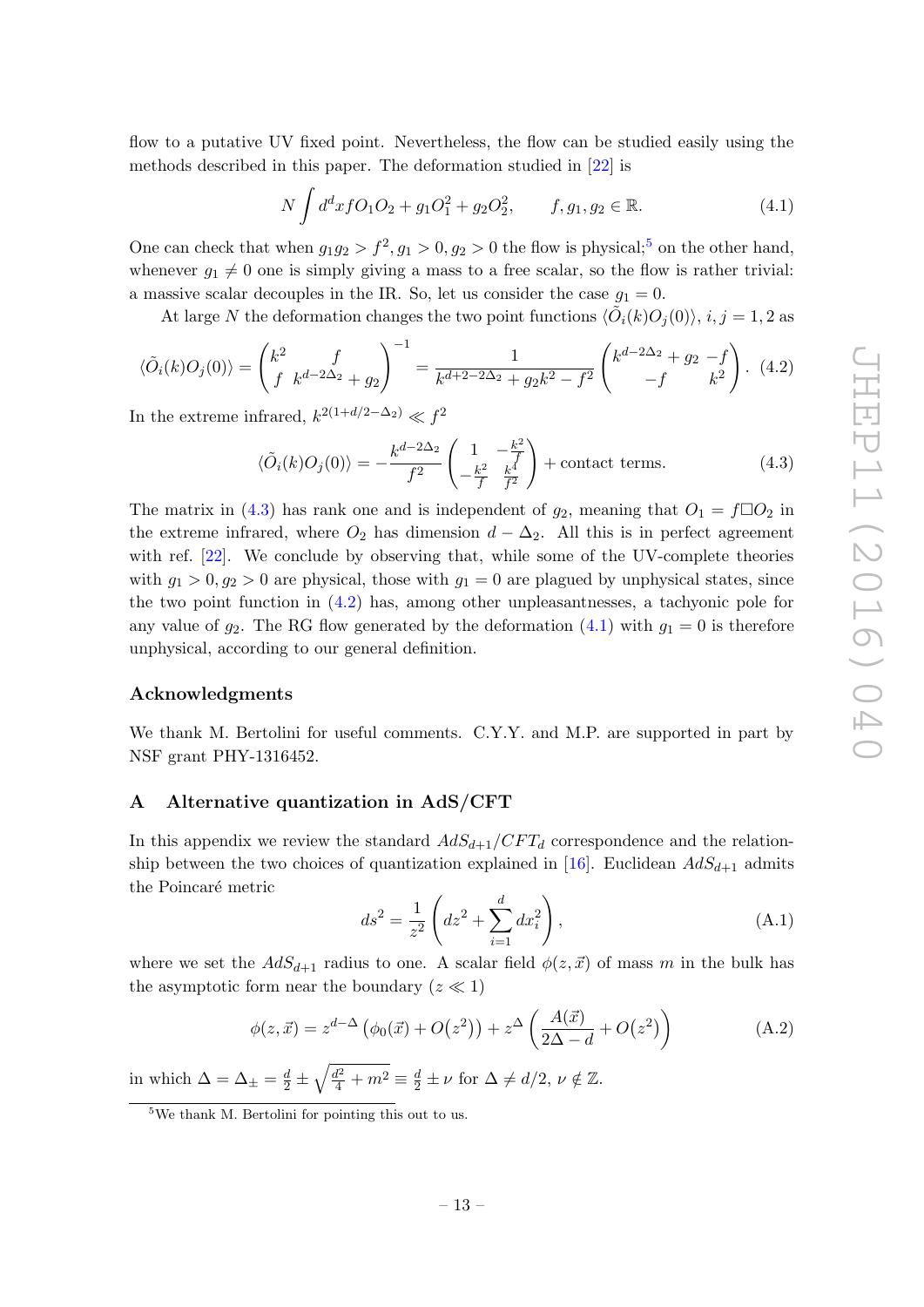flow to a putative UV fixed point. Nevertheless, the flow can be studied easily using the methods described in this paper. The deformation studied in [\[22\]](#page-17-4) is

<span id="page-13-4"></span>
$$
N \int d^d x f O_1 O_2 + g_1 O_1^2 + g_2 O_2^2, \qquad f, g_1, g_2 \in \mathbb{R}.
$$
 (4.1)

One can check that when  $g_1g_2 > f^2, g_1 > 0, g_2 > 0$  the flow is physical;<sup>[5](#page-13-1)</sup> on the other hand, whenever  $g_1 \neq 0$  one is simply giving a mass to a free scalar, so the flow is rather trivial: a massive scalar decouples in the IR. So, let us consider the case  $g_1 = 0$ .

At large N the deformation changes the two point functions  $\langle \tilde{O}_i(k)O_j(0)\rangle$ ,  $i, j = 1, 2$  as

<span id="page-13-3"></span>
$$
\langle \tilde{O}_i(k)O_j(0) \rangle = \begin{pmatrix} k^2 & f \\ f & k^{d-2\Delta_2} + g_2 \end{pmatrix}^{-1} = \frac{1}{k^{d+2-2\Delta_2} + g_2 k^2 - f^2} \begin{pmatrix} k^{d-2\Delta_2} + g_2 - f \\ -f & k^2 \end{pmatrix} . \tag{4.2}
$$

In the extreme infrared,  $k^{2(1+d/2-\Delta_2)} \ll f^2$ 

<span id="page-13-2"></span>
$$
\langle \tilde{O}_i(k)O_j(0)\rangle = -\frac{k^{d-2\Delta_2}}{f^2} \left(\frac{1}{-\frac{k^2}{f}} - \frac{k^2}{\frac{k^4}{f^2}}\right) + \text{contact terms.} \tag{4.3}
$$

The matrix in [\(4.3\)](#page-13-2) has rank one and is independent of  $g_2$ , meaning that  $O_1 = f \Box O_2$  in the extreme infrared, where  $O_2$  has dimension  $d - \Delta_2$ . All this is in perfect agreement with ref. [\[22\]](#page-17-4). We conclude by observing that, while some of the UV-complete theories with  $g_1 > 0$ ,  $g_2 > 0$  are physical, those with  $g_1 = 0$  are plagued by unphysical states, since the two point function in [\(4.2\)](#page-13-3) has, among other unpleasantnesses, a tachyonic pole for any value of  $g_2$ . The RG flow generated by the deformation [\(4.1\)](#page-13-4) with  $g_1 = 0$  is therefore unphysical, according to our general definition.

#### Acknowledgments

We thank M. Bertolini for useful comments. C.Y.Y. and M.P. are supported in part by NSF grant PHY-1316452.

#### <span id="page-13-0"></span>A Alternative quantization in AdS/CFT

In this appendix we review the standard  $AdS_{d+1}/CFT_d$  correspondence and the relation-ship between the two choices of quantization explained in [\[16\]](#page-16-13). Euclidean  $AdS_{d+1}$  admits the Poincaré metric

$$
ds^{2} = \frac{1}{z^{2}} \left( dz^{2} + \sum_{i=1}^{d} dx_{i}^{2} \right),
$$
 (A.1)

where we set the  $AdS_{d+1}$  radius to one. A scalar field  $\phi(z, \vec{x})$  of mass m in the bulk has the asymptotic form near the boundary  $(z \ll 1)$ 

$$
\phi(z,\vec{x}) = z^{d-\Delta} \left( \phi_0(\vec{x}) + O(z^2) \right) + z^{\Delta} \left( \frac{A(\vec{x})}{2\Delta - d} + O(z^2) \right) \tag{A.2}
$$

in which  $\Delta = \Delta_{\pm} = \frac{d}{2} \pm \sqrt{\frac{d^2}{4} + m^2} \equiv \frac{d}{2} \pm \nu$  for  $\Delta \neq d/2$ ,  $\nu \notin \mathbb{Z}$ .

<span id="page-13-1"></span> $5$ We thank M. Bertolini for pointing this out to us.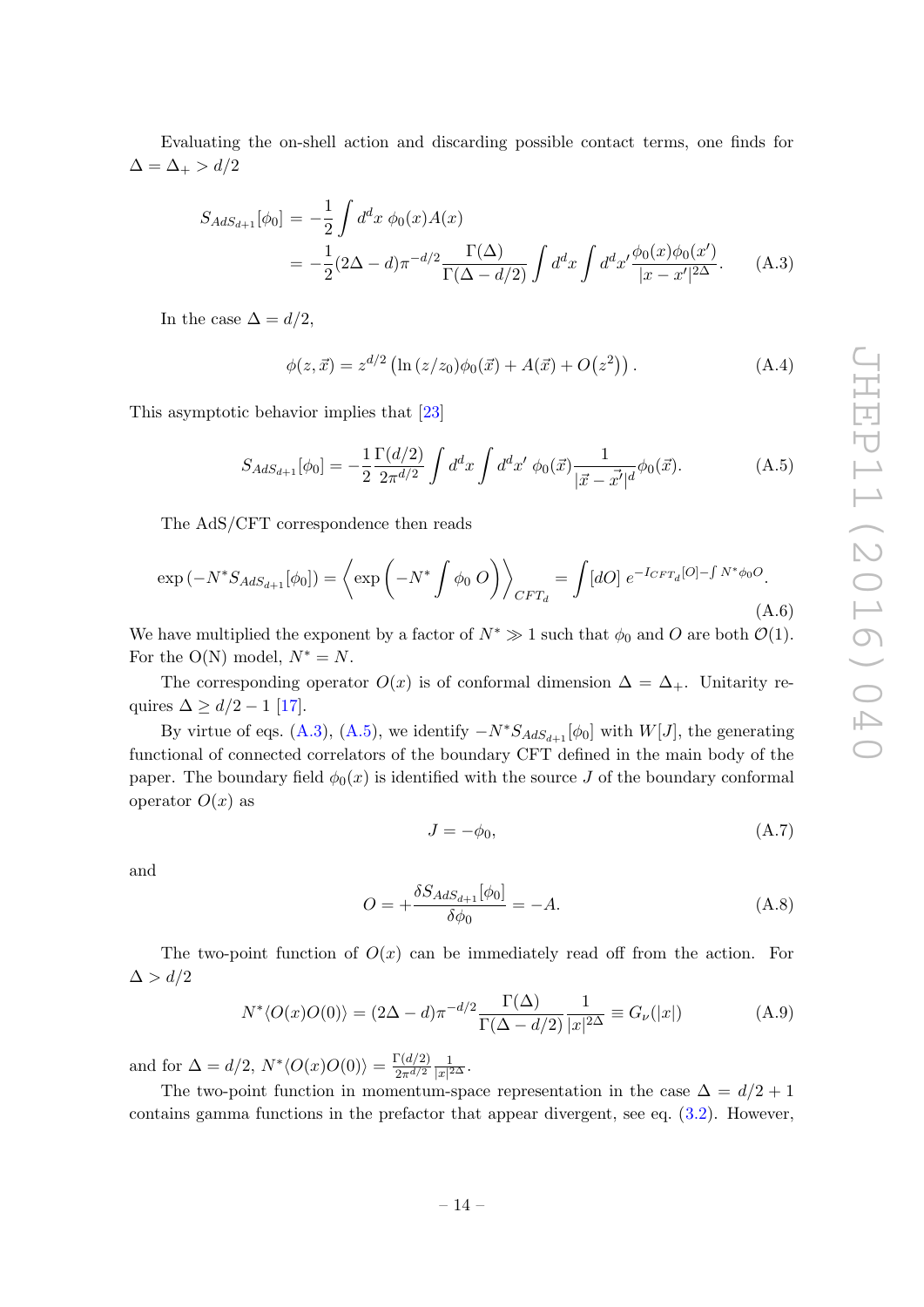Evaluating the on-shell action and discarding possible contact terms, one finds for  $\Delta = \Delta_+ > d/2$ 

<span id="page-14-0"></span>
$$
S_{AdS_{d+1}}[\phi_0] = -\frac{1}{2} \int d^d x \ \phi_0(x) A(x)
$$
  
= 
$$
-\frac{1}{2} (2\Delta - d) \pi^{-d/2} \frac{\Gamma(\Delta)}{\Gamma(\Delta - d/2)} \int d^d x \int d^d x' \frac{\phi_0(x) \phi_0(x')}{|x - x'|^{2\Delta}}.
$$
 (A.3)

In the case  $\Delta = d/2$ ,

$$
\phi(z, \vec{x}) = z^{d/2} \left( \ln \left( z/z_0 \right) \phi_0(\vec{x}) + A(\vec{x}) + O(z^2) \right). \tag{A.4}
$$

This asymptotic behavior implies that [\[23\]](#page-17-5)

<span id="page-14-1"></span>
$$
S_{AdS_{d+1}}[\phi_0] = -\frac{1}{2} \frac{\Gamma(d/2)}{2\pi^{d/2}} \int d^d x \int d^d x' \phi_0(\vec{x}) \frac{1}{|\vec{x} - \vec{x'}|^d} \phi_0(\vec{x}). \tag{A.5}
$$

The AdS/CFT correspondence then reads

$$
\exp\left(-N^*S_{AdS_{d+1}}[\phi_0]\right) = \left\langle \exp\left(-N^*\int \phi_0 O\right) \right\rangle_{CFT_d} = \int [dO] \, e^{-I_{CFT_d}[O] - \int N^*\phi_0 O}.\tag{A.6}
$$

We have multiplied the exponent by a factor of  $N^* \gg 1$  such that  $\phi_0$  and O are both  $\mathcal{O}(1)$ . For the O(N) model,  $N^* = N$ .

The corresponding operator  $O(x)$  is of conformal dimension  $\Delta = \Delta_{+}$ . Unitarity requires  $\Delta \geq d/2 - 1$  [\[17\]](#page-16-14).

By virtue of eqs. [\(A.3\)](#page-14-0), [\(A.5\)](#page-14-1), we identify  $-N^*S_{AdS_{d+1}}[\phi_0]$  with  $W[J]$ , the generating functional of connected correlators of the boundary CFT defined in the main body of the paper. The boundary field  $\phi_0(x)$  is identified with the source J of the boundary conformal operator  $O(x)$  as

$$
J = -\phi_0,\tag{A.7}
$$

and

$$
O = +\frac{\delta S_{AdS_{d+1}}[\phi_0]}{\delta \phi_0} = -A.
$$
 (A.8)

The two-point function of  $O(x)$  can be immediately read off from the action. For  $\Delta > d/2$ 

$$
N^* \langle O(x)O(0) \rangle = (2\Delta - d)\pi^{-d/2} \frac{\Gamma(\Delta)}{\Gamma(\Delta - d/2)} \frac{1}{|x|^{2\Delta}} \equiv G_{\nu}(|x|)
$$
(A.9)

and for  $\Delta = d/2$ ,  $N^* \langle O(x) O(0) \rangle = \frac{\Gamma(d/2)}{2\pi d/2}$  $2\pi^{d/2}$ 1  $\frac{1}{|x|^{2\Delta}}$ .

The two-point function in momentum-space representation in the case  $\Delta = d/2 + 1$ contains gamma functions in the prefactor that appear divergent, see eq. [\(3.2\)](#page-5-1). However,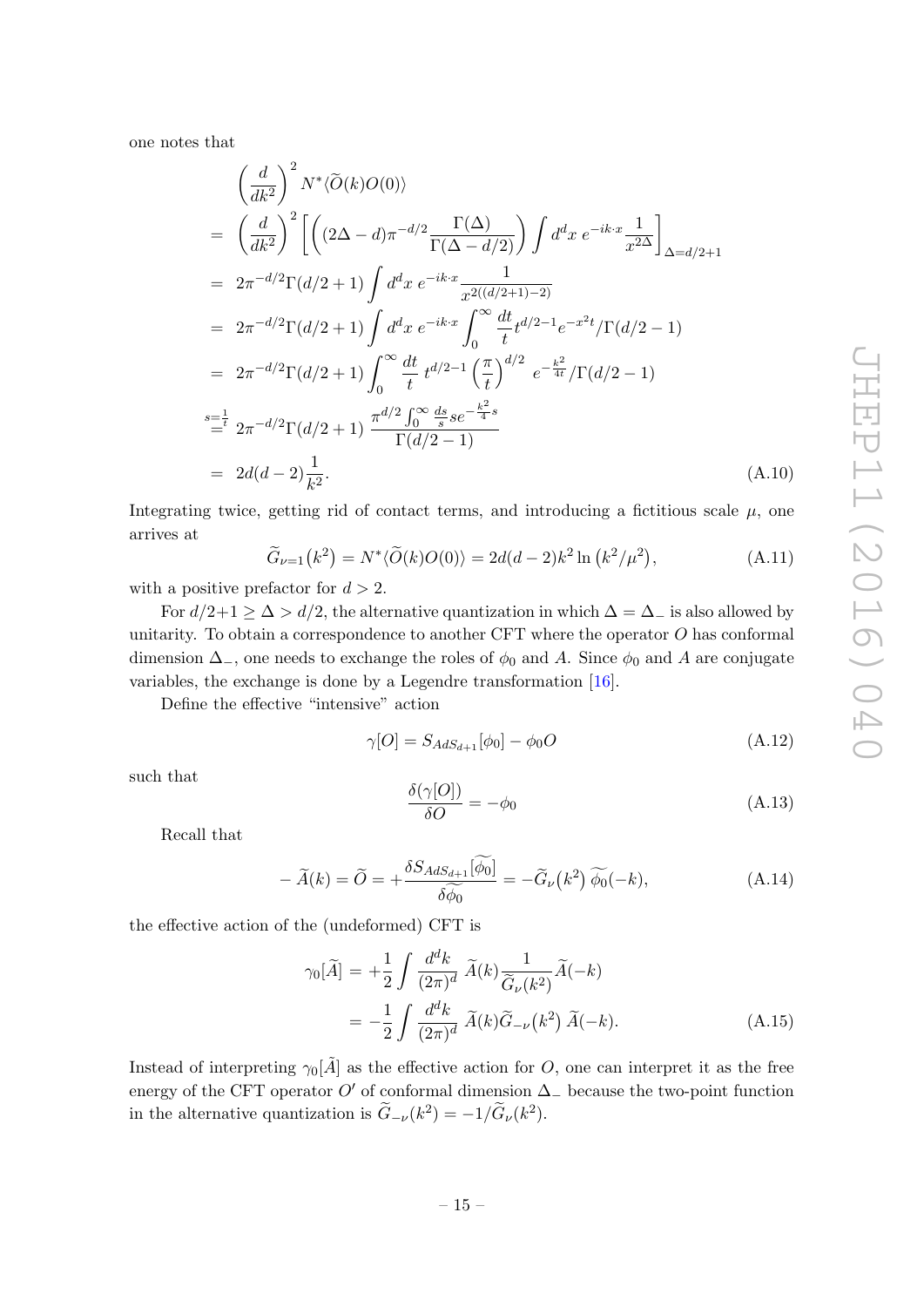one notes that

$$
\left(\frac{d}{dk^2}\right)^2 N^* \langle \tilde{O}(k)O(0)\rangle
$$
\n
$$
= \left(\frac{d}{dk^2}\right)^2 \left[ \left((2\Delta - d)\pi^{-d/2} \frac{\Gamma(\Delta)}{\Gamma(\Delta - d/2)}\right) \int d^d x \ e^{-ik \cdot x} \frac{1}{x^{2\Delta}} \right]_{\Delta = d/2 + 1}
$$
\n
$$
= 2\pi^{-d/2} \Gamma(d/2 + 1) \int d^d x \ e^{-ik \cdot x} \frac{1}{x^{2((d/2+1)-2)}}
$$
\n
$$
= 2\pi^{-d/2} \Gamma(d/2 + 1) \int d^d x \ e^{-ik \cdot x} \int_0^\infty \frac{dt}{t} t^{d/2 - 1} e^{-x^2 t} / \Gamma(d/2 - 1)
$$
\n
$$
= 2\pi^{-d/2} \Gamma(d/2 + 1) \int_0^\infty \frac{dt}{t} t^{d/2 - 1} \left(\frac{\pi}{t}\right)^{d/2} e^{-\frac{k^2}{4t}} / \Gamma(d/2 - 1)
$$
\n
$$
= \frac{1}{t} 2\pi^{-d/2} \Gamma(d/2 + 1) \frac{\pi^{d/2} \int_0^\infty \frac{ds}{s} s e^{-\frac{k^2}{4}s}}{\Gamma(d/2 - 1)}
$$
\n
$$
= 2d(d - 2) \frac{1}{k^2}.
$$
\n(A.10)

Integrating twice, getting rid of contact terms, and introducing a fictitious scale  $\mu$ , one arrives at

$$
\widetilde{G}_{\nu=1}(k^2) = N^* \langle \widetilde{O}(k) O(0) \rangle = 2d(d-2)k^2 \ln (k^2/\mu^2), \tag{A.11}
$$

with a positive prefactor for  $d > 2$ .

For  $d/2+1 \geq \Delta > d/2$ , the alternative quantization in which  $\Delta = \Delta_-$  is also allowed by unitarity. To obtain a correspondence to another CFT where the operator  $O$  has conformal dimension  $\Delta_-,$  one needs to exchange the roles of  $\phi_0$  and A. Since  $\phi_0$  and A are conjugate variables, the exchange is done by a Legendre transformation [\[16\]](#page-16-13).

Define the effective "intensive" action

$$
\gamma[O] = S_{AdS_{d+1}}[\phi_0] - \phi_0 O \tag{A.12}
$$

such that

$$
\frac{\delta(\gamma[O])}{\delta O} = -\phi_0 \tag{A.13}
$$

Recall that

$$
-\widetilde{A}(k) = \widetilde{O} = +\frac{\delta S_{AdS_{d+1}}[\widetilde{\phi_0}]}{\delta \widetilde{\phi_0}} = -\widetilde{G}_{\nu}(k^2)\widetilde{\phi_0}(-k),\tag{A.14}
$$

the effective action of the (undeformed) CFT is

$$
\gamma_0[\tilde{A}] = +\frac{1}{2} \int \frac{d^d k}{(2\pi)^d} \, \tilde{A}(k) \frac{1}{\tilde{G}_{\nu}(k^2)} \tilde{A}(-k)
$$

$$
= -\frac{1}{2} \int \frac{d^d k}{(2\pi)^d} \, \tilde{A}(k) \tilde{G}_{-\nu}(k^2) \, \tilde{A}(-k). \tag{A.15}
$$

Instead of interpreting  $\gamma_0[\tilde{A}]$  as the effective action for O, one can interpret it as the free energy of the CFT operator O' of conformal dimension  $\Delta_-\$  because the two-point function in the alternative quantization is  $\tilde{G}_{-\nu}(k^2) = -1/\tilde{G}_{\nu}(k^2)$ .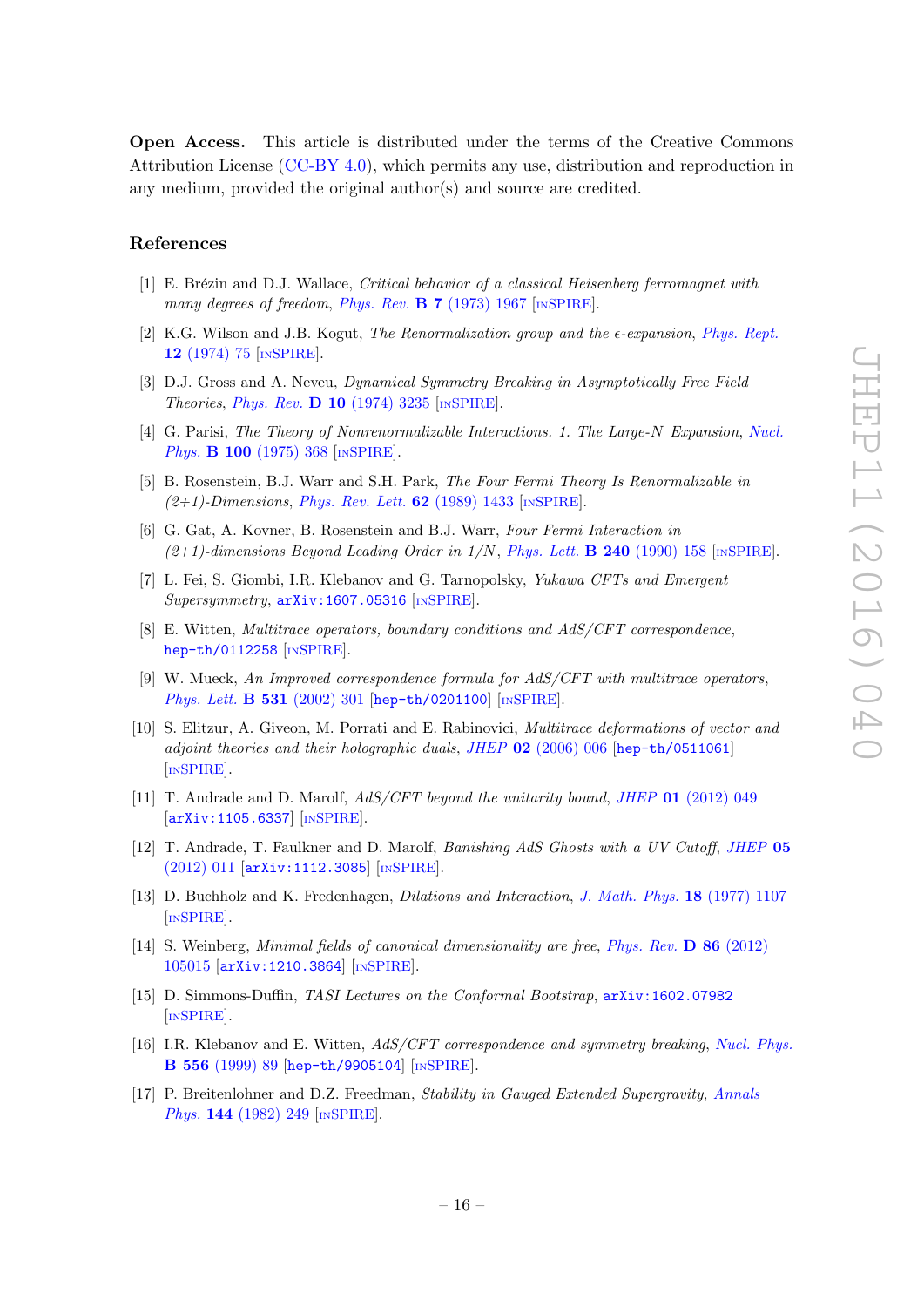Open Access. This article is distributed under the terms of the Creative Commons Attribution License [\(CC-BY 4.0\)](http://creativecommons.org/licenses/by/4.0/), which permits any use, distribution and reproduction in any medium, provided the original author(s) and source are credited.

#### References

- <span id="page-16-0"></span>[1] E. Brézin and D.J. Wallace, Critical behavior of a classical Heisenberg ferromagnet with many degrees of freedom, Phys. Rev.  $\bf{B}$  **7** [\(1973\) 1967](http://dx.doi.org/10.1103/PhysRevB.7.1967) [IN[SPIRE](http://inspirehep.net/search?p=find+J+%22Phys.Rev.,B7,1967%22)].
- <span id="page-16-1"></span>[2] K.G. Wilson and J.B. Kogut, The Renormalization group and the  $\epsilon$ -expansion, [Phys. Rept.](http://dx.doi.org/10.1016/0370-1573(74)90023-4) 12 [\(1974\) 75](http://dx.doi.org/10.1016/0370-1573(74)90023-4) [IN[SPIRE](http://inspirehep.net/search?p=find+J+%22Phys.Rept.,12,75%22)].
- <span id="page-16-2"></span>[3] D.J. Gross and A. Neveu, Dynamical Symmetry Breaking in Asymptotically Free Field Theories, Phys. Rev. D 10 [\(1974\) 3235](http://dx.doi.org/10.1103/PhysRevD.10.3235)  $[NSPIRE]$  $[NSPIRE]$  $[NSPIRE]$ .
- [4] G. Parisi, The Theory of Nonrenormalizable Interactions. 1. The Large-N Expansion, [Nucl.](http://dx.doi.org/10.1016/0550-3213(75)90624-0) Phys. **B 100** [\(1975\) 368](http://dx.doi.org/10.1016/0550-3213(75)90624-0) [IN[SPIRE](http://inspirehep.net/search?p=find+J+%22Nucl.Phys.,B100,368%22)].
- [5] B. Rosenstein, B.J. Warr and S.H. Park, The Four Fermi Theory Is Renormalizable in  $(2+1)$ -Dimensions, [Phys. Rev. Lett.](http://dx.doi.org/10.1103/PhysRevLett.62.1433) **62** (1989) 1433 [IN[SPIRE](http://inspirehep.net/search?p=find+J+%22Phys.Rev.Lett.,62,1433%22)].
- <span id="page-16-3"></span>[6] G. Gat, A. Kovner, B. Rosenstein and B.J. Warr, Four Fermi Interaction in  $(2+1)$ -dimensions Beyond Leading Order in  $1/N$ , [Phys. Lett.](http://dx.doi.org/10.1016/0370-2693(90)90425-6) **B 240** (1990) 158 [IN[SPIRE](http://inspirehep.net/search?p=find+J+%22Phys.Lett.,B240,158%22)].
- <span id="page-16-6"></span>[7] L. Fei, S. Giombi, I.R. Klebanov and G. Tarnopolsky, Yukawa CFTs and Emergent Supersymmetry,  $arXiv:1607.05316$  [IN[SPIRE](http://inspirehep.net/search?p=find+EPRINT+arXiv:1607.05316)].
- <span id="page-16-4"></span>[8] E. Witten, Multitrace operators, boundary conditions and AdS/CFT correspondence, [hep-th/0112258](https://arxiv.org/abs/hep-th/0112258) [IN[SPIRE](http://inspirehep.net/search?p=find+EPRINT+hep-th/0112258)].
- <span id="page-16-5"></span>[9] W. Mueck, An Improved correspondence formula for AdS/CFT with multitrace operators, [Phys. Lett.](http://dx.doi.org/10.1016/S0370-2693(02)01487-9) **B 531** (2002) 301 [[hep-th/0201100](https://arxiv.org/abs/hep-th/0201100)] [IN[SPIRE](http://inspirehep.net/search?p=find+EPRINT+hep-th/0201100)].
- <span id="page-16-7"></span>[10] S. Elitzur, A. Giveon, M. Porrati and E. Rabinovici, Multitrace deformations of vector and adjoint theories and their holographic duals, JHEP  $02$  [\(2006\) 006](http://dx.doi.org/10.1088/1126-6708/2006/02/006) [[hep-th/0511061](https://arxiv.org/abs/hep-th/0511061)] [IN[SPIRE](http://inspirehep.net/search?p=find+EPRINT+hep-th/0511061)].
- <span id="page-16-8"></span>[11] T. Andrade and D. Marolf, AdS/CFT beyond the unitarity bound, JHEP 01 [\(2012\) 049](http://dx.doi.org/10.1007/JHEP01(2012)049) [[arXiv:1105.6337](https://arxiv.org/abs/1105.6337)] [IN[SPIRE](http://inspirehep.net/search?p=find+EPRINT+arXiv:1105.6337)].
- <span id="page-16-9"></span>[12] T. Andrade, T. Faulkner and D. Marolf, Banishing AdS Ghosts with a UV Cutoff, [JHEP](http://dx.doi.org/10.1007/JHEP05(2012)011) 05 [\(2012\) 011](http://dx.doi.org/10.1007/JHEP05(2012)011) [[arXiv:1112.3085](https://arxiv.org/abs/1112.3085)] [IN[SPIRE](http://inspirehep.net/search?p=find+EPRINT+arXiv:1112.3085)].
- <span id="page-16-10"></span>[13] D. Buchholz and K. Fredenhagen, Dilations and Interaction, [J. Math. Phys.](http://dx.doi.org/10.1063/1.523370) 18 (1977) 1107 [IN[SPIRE](http://inspirehep.net/search?p=find+J+%22J.Math.Phys.,18,1107%22)].
- <span id="page-16-11"></span>[14] S. Weinberg, *Minimal fields of canonical dimensionality are free, [Phys. Rev.](http://dx.doi.org/10.1103/PhysRevD.86.105015)* **D** 86 (2012) [105015](http://dx.doi.org/10.1103/PhysRevD.86.105015) [[arXiv:1210.3864](https://arxiv.org/abs/1210.3864)] [IN[SPIRE](http://inspirehep.net/search?p=find+EPRINT+arXiv:1210.3864)].
- <span id="page-16-12"></span>[15] D. Simmons-Duffin, TASI Lectures on the Conformal Bootstrap, [arXiv:1602.07982](https://arxiv.org/abs/1602.07982) [IN[SPIRE](http://inspirehep.net/search?p=find+EPRINT+arXiv:1602.07982)].
- <span id="page-16-13"></span>[16] I.R. Klebanov and E. Witten, AdS/CFT correspondence and symmetry breaking, [Nucl. Phys.](http://dx.doi.org/10.1016/S0550-3213(99)00387-9) B 556 [\(1999\) 89](http://dx.doi.org/10.1016/S0550-3213(99)00387-9) [[hep-th/9905104](https://arxiv.org/abs/hep-th/9905104)] [IN[SPIRE](http://inspirehep.net/search?p=find+EPRINT+hep-th/9905104)].
- <span id="page-16-14"></span>[17] P. Breitenlohner and D.Z. Freedman, Stability in Gauged Extended Supergravity, [Annals](http://dx.doi.org/10.1016/0003-4916(82)90116-6) Phys. **144** [\(1982\) 249](http://dx.doi.org/10.1016/0003-4916(82)90116-6) [IN[SPIRE](http://inspirehep.net/search?p=find+J+%22AnnalsPhys.,144,249%22)].